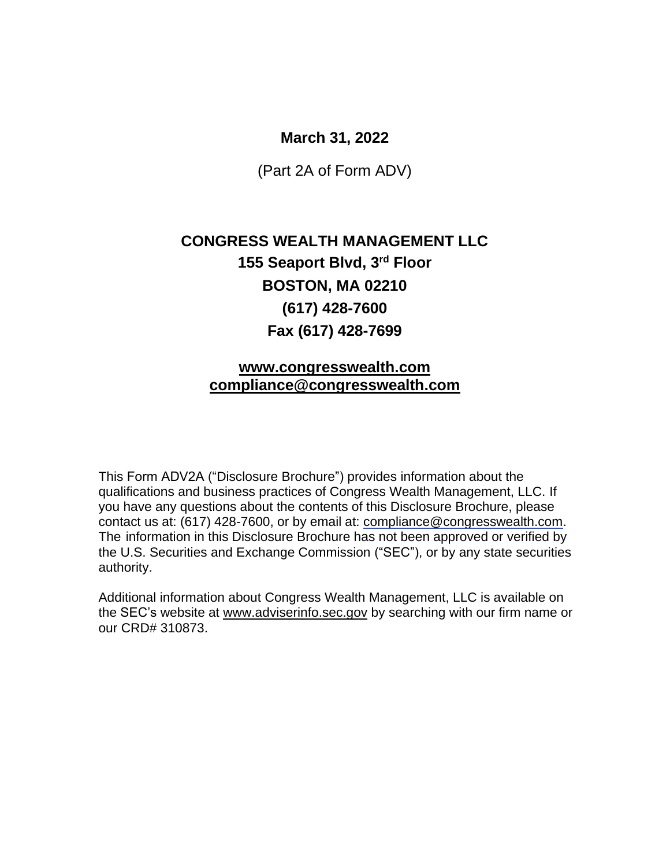### **March 31, 2022**

(Part 2A of Form ADV)

# **CONGRESS WEALTH MANAGEMENT LLC [155 Seaport Blvd, 3](https://urldefense.proofpoint.com/v2/url?u=https-3A__www.google.com_url-3Fsa-3Dt-26rct-3Dj-26q-3D-26esrc-3Ds-26source-3Dweb-26cd-3D5-26cad-3Drja-26uact-3D8-26ved-3D2ahUKEwinjIqx-2DcvkAhXO1FkKHZh3BqsQFjAEegQIBRAB-26url-3Dhttps-253A-252F-252Fwww.loopnet.com-252FListing-252F155-2DSeaport-2DBlvd-2DBoston-2DMA-252F4059392-252F-26usg-3DAOvVaw0t6iQ0wV7xsCellr61zI-5Fg&d=DwMFAg&c=5vOBDmAB7iEjDDOZLSiuMw&r=Lu3bgCMr2UweBnw91X7TX-xbBS0X4yaSpTH7V22GUFk&m=1AzQnXmpIuFEJOgkQuCbGTTPWImmjjR3KKPowe6GvOk&s=qwSeESNwcl6sHQAw9PXqZoDR107XE6-NSO58i_F3SGo&e=)rd Floor BOSTON, MA 02210 (617) 428-7600 Fax (617) 428-7699**

### **[www.congresswealth.com](http://www.congresswealth.com/) [compliance@congresswealth.com](mailto:compliance@congresswealth.com)**

This Form ADV2A ("Disclosure Brochure") provides information about the qualifications and business practices of Congress Wealth Management, LLC. If you have any questions about the contents of this Disclosure Brochure, please contact us at: (617) 428-7600, or by email at: [compliance@congresswealth.com.](mailto:compliance@congresswealth.com) The information in this Disclosure Brochure has not been approved or verified by the U.S. Securities and Exchange Commission ("SEC"), or by any state securities authority.

Additional information about Congress Wealth Management, LLC is available on the SEC's website at [www.adviserinfo.sec.gov](http://www.adviserinfo.sec.gov/) by searching with our firm name or our CRD# 310873.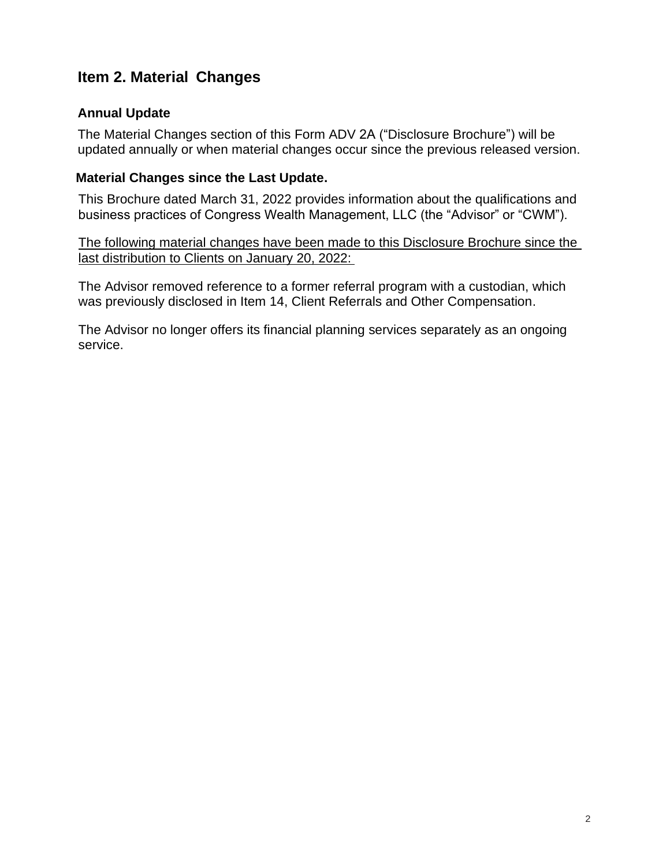## <span id="page-1-0"></span>**Item 2. Material Changes**

### **Annual Update**

The Material Changes section of this Form ADV 2A ("Disclosure Brochure") will be updated annually or when material changes occur since the previous released version.

### **Material Changes since the Last Update.**

This Brochure dated March 31, 2022 provides information about the qualifications and business practices of Congress Wealth Management, LLC (the "Advisor" or "CWM").

The following material changes have been made to this Disclosure Brochure since the last distribution to Clients on January 20, 2022:

The Advisor removed reference to a former referral program with a custodian, which was previously disclosed in Item 14, Client Referrals and Other Compensation.

The Advisor no longer offers its financial planning services separately as an ongoing service.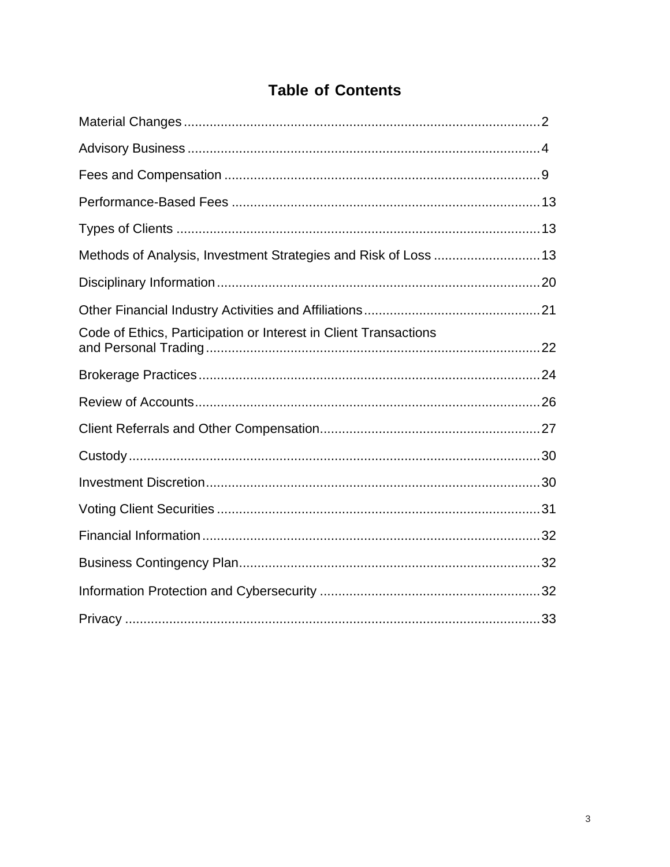| <b>Table of Contents</b> |
|--------------------------|
|--------------------------|

| Methods of Analysis, Investment Strategies and Risk of Loss  13  |
|------------------------------------------------------------------|
|                                                                  |
|                                                                  |
| Code of Ethics, Participation or Interest in Client Transactions |
|                                                                  |
|                                                                  |
|                                                                  |
|                                                                  |
|                                                                  |
|                                                                  |
|                                                                  |
|                                                                  |
|                                                                  |
|                                                                  |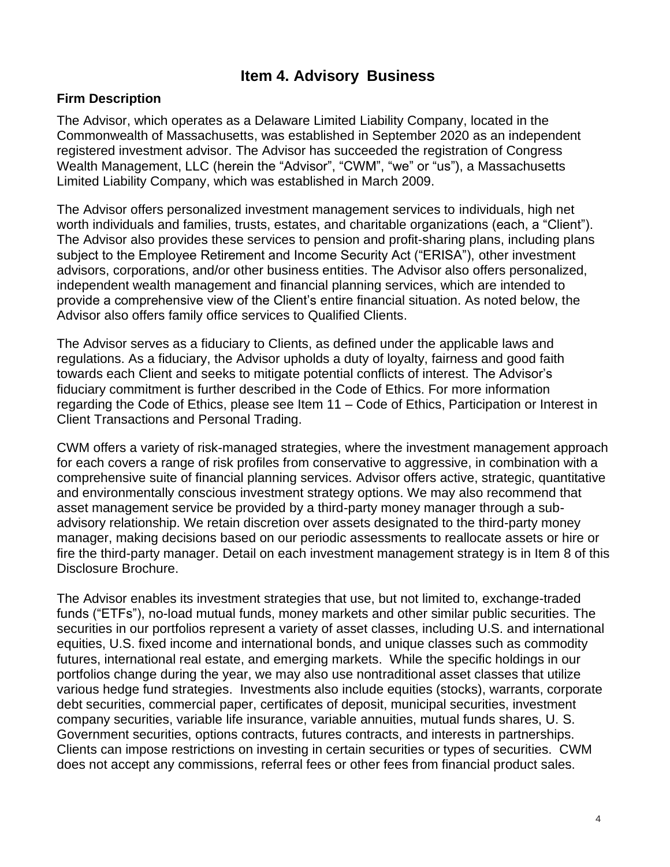## **Item 4. Advisory Business**

### <span id="page-3-0"></span>**Firm Description**

The Advisor, which operates as a Delaware Limited Liability Company, located in the Commonwealth of Massachusetts, was established in September 2020 as an independent registered investment advisor. The Advisor has succeeded the registration of Congress Wealth Management, LLC (herein the "Advisor", "CWM", "we" or "us"), a Massachusetts Limited Liability Company, which was established in March 2009.

The Advisor offers personalized investment management services to individuals, high net worth individuals and families, trusts, estates, and charitable organizations (each, a "Client"). The Advisor also provides these services to pension and profit-sharing plans, including plans subject to the Employee Retirement and Income Security Act ("ERISA"), other investment advisors, corporations, and/or other business entities. The Advisor also offers personalized, independent wealth management and financial planning services, which are intended to provide a comprehensive view of the Client's entire financial situation. As noted below, the Advisor also offers family office services to Qualified Clients.

The Advisor serves as a fiduciary to Clients, as defined under the applicable laws and regulations. As a fiduciary, the Advisor upholds a duty of loyalty, fairness and good faith towards each Client and seeks to mitigate potential conflicts of interest. The Advisor's fiduciary commitment is further described in the Code of Ethics. For more information regarding the Code of Ethics, please see Item 11 – Code of Ethics, Participation or Interest in Client Transactions and Personal Trading.

CWM offers a variety of risk-managed strategies, where the investment management approach for each covers a range of risk profiles from conservative to aggressive, in combination with a comprehensive suite of financial planning services. Advisor offers active, strategic, quantitative and environmentally conscious investment strategy options. We may also recommend that asset management service be provided by a third-party money manager through a subadvisory relationship. We retain discretion over assets designated to the third-party money manager, making decisions based on our periodic assessments to reallocate assets or hire or fire the third-party manager. Detail on each investment management strategy is in Item 8 of this Disclosure Brochure.

The Advisor enables its investment strategies that use, but not limited to, exchange-traded funds ("ETFs"), no-load mutual funds, money markets and other similar public securities. The securities in our portfolios represent a variety of asset classes, including U.S. and international equities, U.S. fixed income and international bonds, and unique classes such as commodity futures, international real estate, and emerging markets. While the specific holdings in our portfolios change during the year, we may also use nontraditional asset classes that utilize various hedge fund strategies. Investments also include equities (stocks), warrants, corporate debt securities, commercial paper, certificates of deposit, municipal securities, investment company securities, variable life insurance, variable annuities, mutual funds shares, U. S. Government securities, options contracts, futures contracts, and interests in partnerships. Clients can impose restrictions on investing in certain securities or types of securities. CWM does not accept any commissions, referral fees or other fees from financial product sales.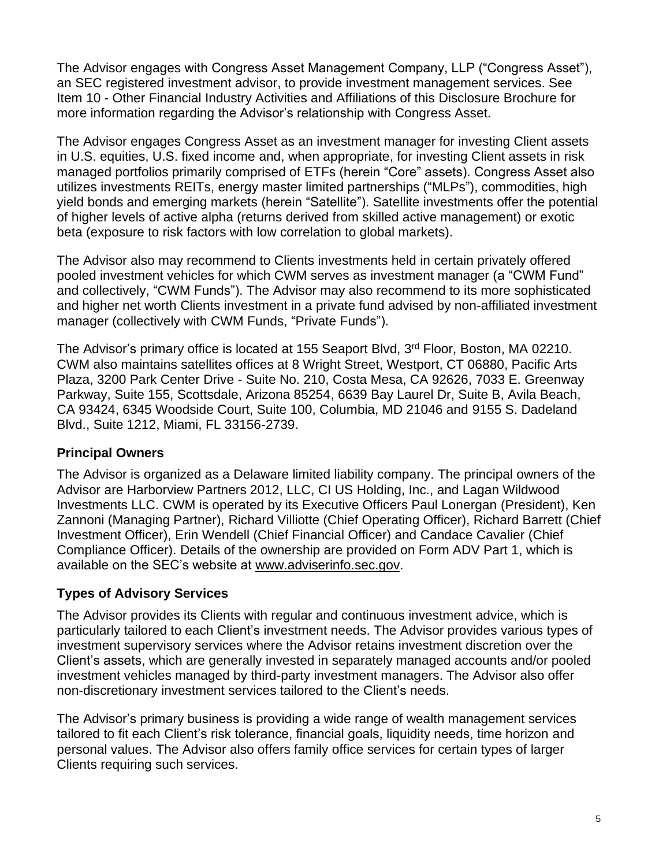The Advisor engages with Congress Asset Management Company, LLP ("Congress Asset"), an SEC registered investment advisor, to provide investment management services. See Item 10 - Other Financial Industry Activities and Affiliations of this Disclosure Brochure for more information regarding the Advisor's relationship with Congress Asset.

The Advisor engages Congress Asset as an investment manager for investing Client assets in U.S. equities, U.S. fixed income and, when appropriate, for investing Client assets in risk managed portfolios primarily comprised of ETFs (herein "Core" assets). Congress Asset also utilizes investments REITs, energy master limited partnerships ("MLPs"), commodities, high yield bonds and emerging markets (herein "Satellite"). Satellite investments offer the potential of higher levels of active alpha (returns derived from skilled active management) or exotic beta (exposure to risk factors with low correlation to global markets).

The Advisor also may recommend to Clients investments held in certain privately offered pooled investment vehicles for which CWM serves as investment manager (a "CWM Fund" and collectively, "CWM Funds"). The Advisor may also recommend to its more sophisticated and higher net worth Clients investment in a private fund advised by non-affiliated investment manager (collectively with CWM Funds, "Private Funds").

The Advisor's primary office is located at [155 Seaport Blvd, 3](https://urldefense.proofpoint.com/v2/url?u=https-3A__www.google.com_url-3Fsa-3Dt-26rct-3Dj-26q-3D-26esrc-3Ds-26source-3Dweb-26cd-3D5-26cad-3Drja-26uact-3D8-26ved-3D2ahUKEwinjIqx-2DcvkAhXO1FkKHZh3BqsQFjAEegQIBRAB-26url-3Dhttps-253A-252F-252Fwww.loopnet.com-252FListing-252F155-2DSeaport-2DBlvd-2DBoston-2DMA-252F4059392-252F-26usg-3DAOvVaw0t6iQ0wV7xsCellr61zI-5Fg&d=DwMFAg&c=5vOBDmAB7iEjDDOZLSiuMw&r=Lu3bgCMr2UweBnw91X7TX-xbBS0X4yaSpTH7V22GUFk&m=1AzQnXmpIuFEJOgkQuCbGTTPWImmjjR3KKPowe6GvOk&s=qwSeESNwcl6sHQAw9PXqZoDR107XE6-NSO58i_F3SGo&e=)<sup>rd</sup> Floor, Boston, MA 02210. CWM also maintains satellites offices at 8 Wright Street, Westport, CT 06880, Pacific Arts Plaza, 3200 Park Center Drive - Suite No. 210, Costa Mesa, CA 92626, 7033 E. Greenway Parkway, Suite 155, Scottsdale, Arizona 85254, 6639 Bay Laurel Dr, Suite B, Avila Beach, CA 93424, 6345 Woodside Court, Suite 100, Columbia, MD 21046 and 9155 S. Dadeland Blvd., Suite 1212, Miami, FL 33156-2739.

### **Principal Owners**

The Advisor is organized as a Delaware limited liability company. The principal owners of the Advisor are Harborview Partners 2012, LLC, CI US Holding, Inc., and Lagan Wildwood Investments LLC. CWM is operated by its Executive Officers Paul Lonergan (President), Ken Zannoni (Managing Partner), Richard Villiotte (Chief Operating Officer), Richard Barrett (Chief Investment Officer), Erin Wendell (Chief Financial Officer) and Candace Cavalier (Chief Compliance Officer). Details of the ownership are provided on Form ADV Part 1, which is available on the SEC's website at [www.adviserinfo.sec.gov.](http://www.adviserinfo.sec.gov/)

### **Types of Advisory Services**

The Advisor provides its Clients with regular and continuous investment advice, which is particularly tailored to each Client's investment needs. The Advisor provides various types of investment supervisory services where the Advisor retains investment discretion over the Client's assets, which are generally invested in separately managed accounts and/or pooled investment vehicles managed by third-party investment managers. The Advisor also offer non-discretionary investment services tailored to the Client's needs.

The Advisor's primary business is providing a wide range of wealth management services tailored to fit each Client's risk tolerance, financial goals, liquidity needs, time horizon and personal values. The Advisor also offers family office services for certain types of larger Clients requiring such services.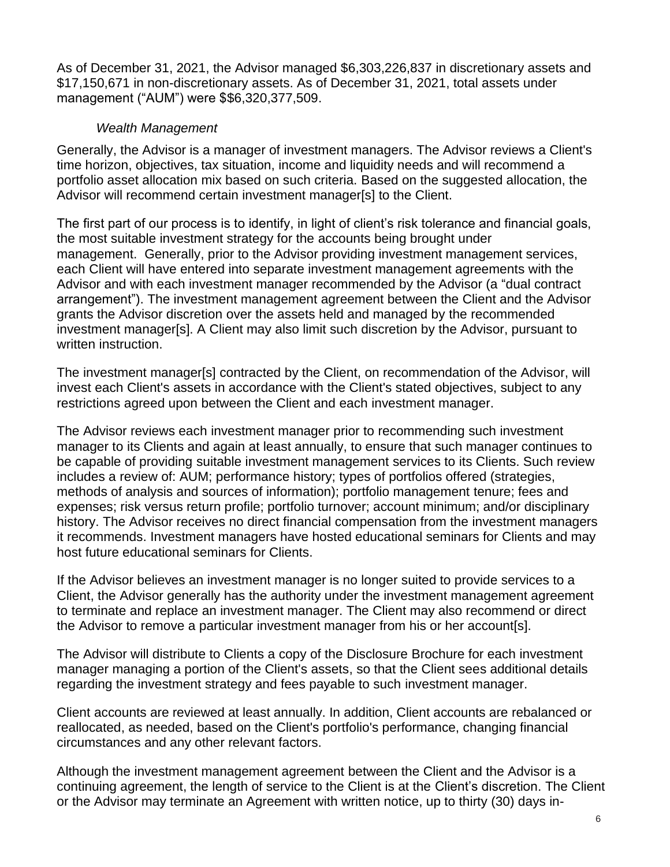As of December 31, 2021, the Advisor managed \$6,303,226,837 in discretionary assets and \$17,150,671 in non-discretionary assets. As of December 31, 2021, total assets under management ("AUM") were \$\$6,320,377,509.

### *Wealth Management*

Generally, the Advisor is a manager of investment managers. The Advisor reviews a Client's time horizon, objectives, tax situation, income and liquidity needs and will recommend a portfolio asset allocation mix based on such criteria. Based on the suggested allocation, the Advisor will recommend certain investment manager[s] to the Client.

The first part of our process is to identify, in light of client's risk tolerance and financial goals, the most suitable investment strategy for the accounts being brought under management. Generally, prior to the Advisor providing investment management services, each Client will have entered into separate investment management agreements with the Advisor and with each investment manager recommended by the Advisor (a "dual contract arrangement"). The investment management agreement between the Client and the Advisor grants the Advisor discretion over the assets held and managed by the recommended investment manager[s]. A Client may also limit such discretion by the Advisor, pursuant to written instruction.

The investment manager[s] contracted by the Client, on recommendation of the Advisor, will invest each Client's assets in accordance with the Client's stated objectives, subject to any restrictions agreed upon between the Client and each investment manager.

The Advisor reviews each investment manager prior to recommending such investment manager to its Clients and again at least annually, to ensure that such manager continues to be capable of providing suitable investment management services to its Clients. Such review includes a review of: AUM; performance history; types of portfolios offered (strategies, methods of analysis and sources of information); portfolio management tenure; fees and expenses; risk versus return profile; portfolio turnover; account minimum; and/or disciplinary history. The Advisor receives no direct financial compensation from the investment managers it recommends. Investment managers have hosted educational seminars for Clients and may host future educational seminars for Clients.

If the Advisor believes an investment manager is no longer suited to provide services to a Client, the Advisor generally has the authority under the investment management agreement to terminate and replace an investment manager. The Client may also recommend or direct the Advisor to remove a particular investment manager from his or her account[s].

The Advisor will distribute to Clients a copy of the Disclosure Brochure for each investment manager managing a portion of the Client's assets, so that the Client sees additional details regarding the investment strategy and fees payable to such investment manager.

Client accounts are reviewed at least annually. In addition, Client accounts are rebalanced or reallocated, as needed, based on the Client's portfolio's performance, changing financial circumstances and any other relevant factors.

Although the investment management agreement between the Client and the Advisor is a continuing agreement, the length of service to the Client is at the Client's discretion. The Client or the Advisor may terminate an Agreement with written notice, up to thirty (30) days in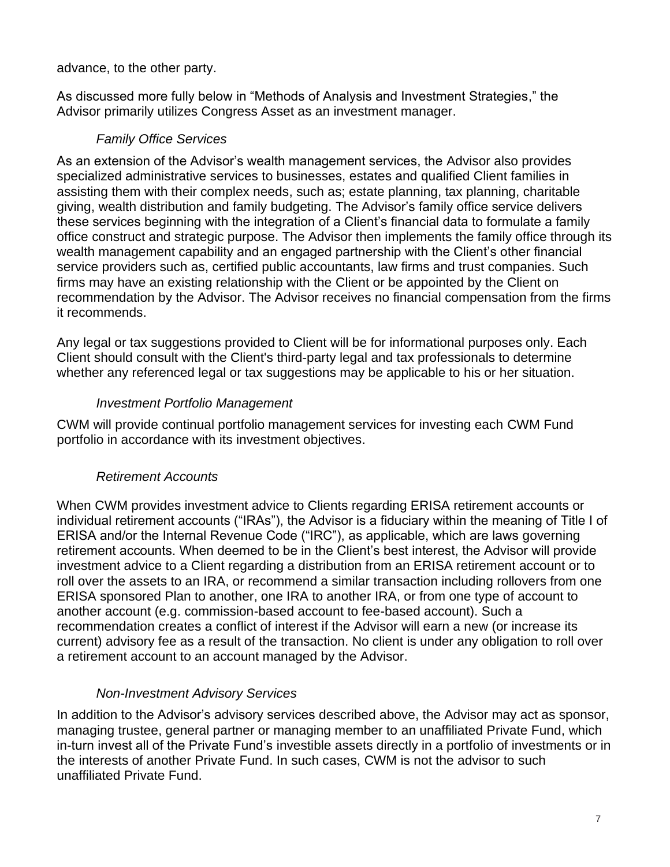advance, to the other party.

As discussed more fully below in "Methods of Analysis and Investment Strategies," the Advisor primarily utilizes Congress Asset as an investment manager.

### *Family Office Services*

As an extension of the Advisor's wealth management services, the Advisor also provides specialized administrative services to businesses, estates and qualified Client families in assisting them with their complex needs, such as; estate planning, tax planning, charitable giving, wealth distribution and family budgeting. The Advisor's family office service delivers these services beginning with the integration of a Client's financial data to formulate a family office construct and strategic purpose. The Advisor then implements the family office through its wealth management capability and an engaged partnership with the Client's other financial service providers such as, certified public accountants, law firms and trust companies. Such firms may have an existing relationship with the Client or be appointed by the Client on recommendation by the Advisor. The Advisor receives no financial compensation from the firms it recommends.

Any legal or tax suggestions provided to Client will be for informational purposes only. Each Client should consult with the Client's third-party legal and tax professionals to determine whether any referenced legal or tax suggestions may be applicable to his or her situation.

### *Investment Portfolio Management*

CWM will provide continual portfolio management services for investing each CWM Fund portfolio in accordance with its investment objectives.

### *Retirement Accounts*

When CWM provides investment advice to Clients regarding ERISA retirement accounts or individual retirement accounts ("IRAs"), the Advisor is a fiduciary within the meaning of Title I of ERISA and/or the Internal Revenue Code ("IRC"), as applicable, which are laws governing retirement accounts. When deemed to be in the Client's best interest, the Advisor will provide investment advice to a Client regarding a distribution from an ERISA retirement account or to roll over the assets to an IRA, or recommend a similar transaction including rollovers from one ERISA sponsored Plan to another, one IRA to another IRA, or from one type of account to another account (e.g. commission-based account to fee-based account). Such a recommendation creates a conflict of interest if the Advisor will earn a new (or increase its current) advisory fee as a result of the transaction. No client is under any obligation to roll over a retirement account to an account managed by the Advisor.

### *Non-Investment Advisory Services*

In addition to the Advisor's advisory services described above, the Advisor may act as sponsor, managing trustee, general partner or managing member to an unaffiliated Private Fund, which in-turn invest all of the Private Fund's investible assets directly in a portfolio of investments or in the interests of another Private Fund. In such cases, CWM is not the advisor to such unaffiliated Private Fund.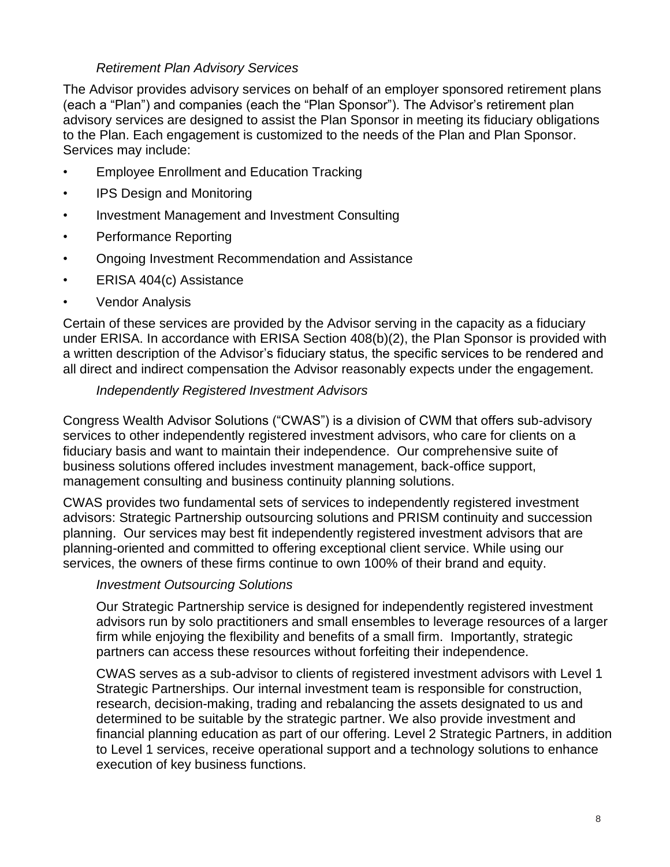### *Retirement Plan Advisory Services*

The Advisor provides advisory services on behalf of an employer sponsored retirement plans (each a "Plan") and companies (each the "Plan Sponsor"). The Advisor's retirement plan advisory services are designed to assist the Plan Sponsor in meeting its fiduciary obligations to the Plan. Each engagement is customized to the needs of the Plan and Plan Sponsor. Services may include:

- Employee Enrollment and Education Tracking
- IPS Design and Monitoring
- Investment Management and Investment Consulting
- Performance Reporting
- Ongoing Investment Recommendation and Assistance
- ERISA 404(c) Assistance
- Vendor Analysis

Certain of these services are provided by the Advisor serving in the capacity as a fiduciary under ERISA. In accordance with ERISA Section 408(b)(2), the Plan Sponsor is provided with a written description of the Advisor's fiduciary status, the specific services to be rendered and all direct and indirect compensation the Advisor reasonably expects under the engagement.

#### *Independently Registered Investment Advisors*

Congress Wealth Advisor Solutions ("CWAS") is a division of CWM that offers sub-advisory services to other independently registered investment advisors, who care for clients on a fiduciary basis and want to maintain their independence. Our comprehensive suite of business solutions offered includes investment management, back-office support, management consulting and business continuity planning solutions.

CWAS provides two fundamental sets of services to independently registered investment advisors: Strategic Partnership outsourcing solutions and PRISM continuity and succession planning. Our services may best fit independently registered investment advisors that are planning-oriented and committed to offering exceptional client service. While using our services, the owners of these firms continue to own 100% of their brand and equity.

#### *Investment Outsourcing Solutions*

Our Strategic Partnership service is designed for independently registered investment advisors run by solo practitioners and small ensembles to leverage resources of a larger firm while enjoying the flexibility and benefits of a small firm. Importantly, strategic partners can access these resources without forfeiting their independence.

CWAS serves as a sub-advisor to clients of registered investment advisors with Level 1 Strategic Partnerships. Our internal investment team is responsible for construction, research, decision-making, trading and rebalancing the assets designated to us and determined to be suitable by the strategic partner. We also provide investment and financial planning education as part of our offering. Level 2 Strategic Partners, in addition to Level 1 services, receive operational support and a technology solutions to enhance execution of key business functions.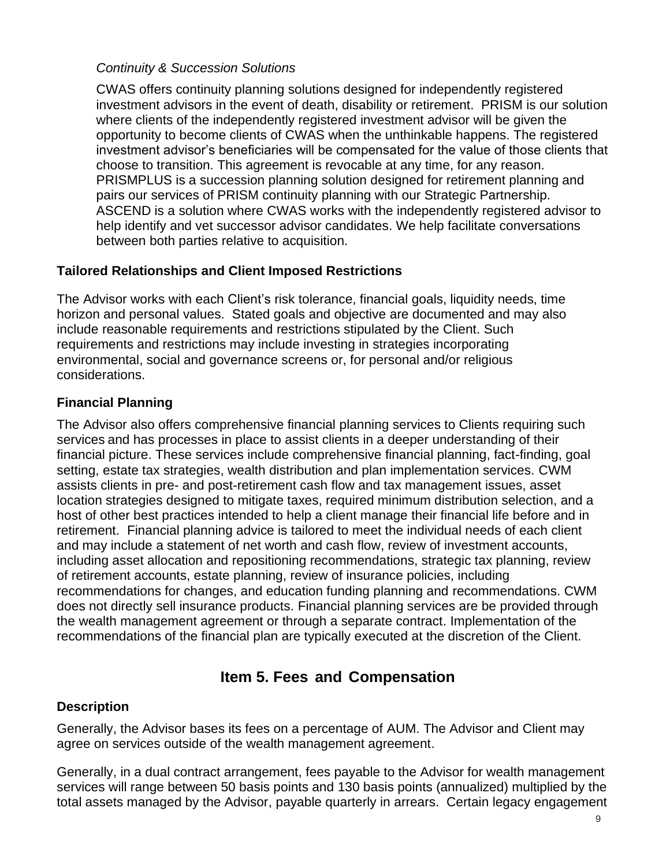### *Continuity & Succession Solutions*

CWAS offers continuity planning solutions designed for independently registered investment advisors in the event of death, disability or retirement. PRISM is our solution where clients of the independently registered investment advisor will be given the opportunity to become clients of CWAS when the unthinkable happens. The registered investment advisor's beneficiaries will be compensated for the value of those clients that choose to transition. This agreement is revocable at any time, for any reason. PRISMPLUS is a succession planning solution designed for retirement planning and pairs our services of PRISM continuity planning with our Strategic Partnership. ASCEND is a solution where CWAS works with the independently registered advisor to help identify and vet successor advisor candidates. We help facilitate conversations between both parties relative to acquisition.

### **Tailored Relationships and Client Imposed Restrictions**

The Advisor works with each Client's risk tolerance, financial goals, liquidity needs, time horizon and personal values. Stated goals and objective are documented and may also include reasonable requirements and restrictions stipulated by the Client. Such requirements and restrictions may include investing in strategies incorporating environmental, social and governance screens or, for personal and/or religious considerations.

### **Financial Planning**

The Advisor also offers comprehensive financial planning services to Clients requiring such services and has processes in place to assist clients in a deeper understanding of their financial picture. These services include comprehensive financial planning, fact-finding, goal setting, estate tax strategies, wealth distribution and plan implementation services. CWM assists clients in pre- and post-retirement cash flow and tax management issues, asset location strategies designed to mitigate taxes, required minimum distribution selection, and a host of other best practices intended to help a client manage their financial life before and in retirement. Financial planning advice is tailored to meet the individual needs of each client and may include a statement of net worth and cash flow, review of investment accounts, including asset allocation and repositioning recommendations, strategic tax planning, review of retirement accounts, estate planning, review of insurance policies, including recommendations for changes, and education funding planning and recommendations. CWM does not directly sell insurance products. Financial planning services are be provided through the wealth management agreement or through a separate contract. Implementation of the recommendations of the financial plan are typically executed at the discretion of the Client.

## **Item 5. Fees and Compensation**

#### <span id="page-8-0"></span>**Description**

Generally, the Advisor bases its fees on a percentage of AUM. The Advisor and Client may agree on services outside of the wealth management agreement.

Generally, in a dual contract arrangement, fees payable to the Advisor for wealth management services will range between 50 basis points and 130 basis points (annualized) multiplied by the total assets managed by the Advisor, payable quarterly in arrears. Certain legacy engagement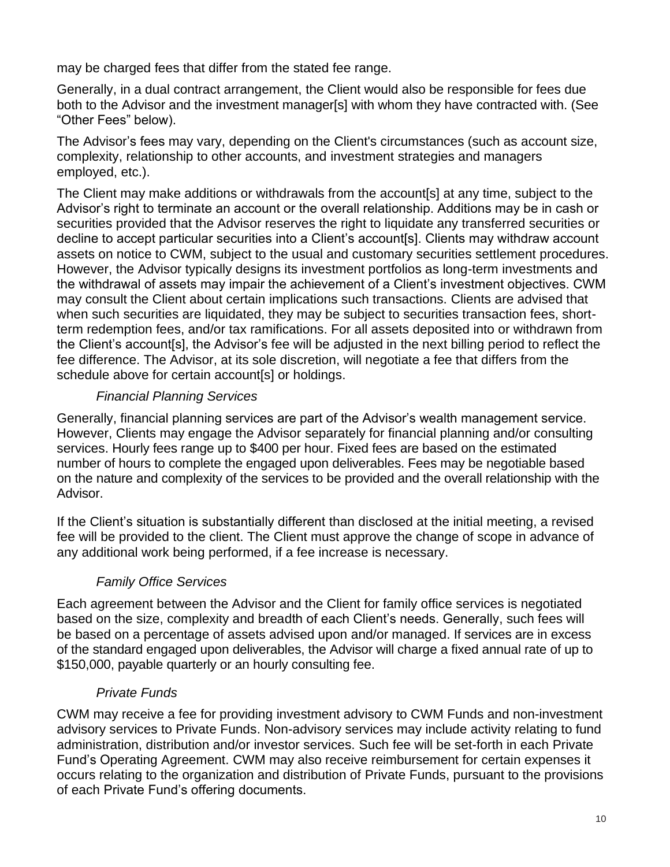may be charged fees that differ from the stated fee range.

Generally, in a dual contract arrangement, the Client would also be responsible for fees due both to the Advisor and the investment manager[s] with whom they have contracted with. (See "Other Fees" below).

The Advisor's fees may vary, depending on the Client's circumstances (such as account size, complexity, relationship to other accounts, and investment strategies and managers employed, etc.).

The Client may make additions or withdrawals from the account[s] at any time, subject to the Advisor's right to terminate an account or the overall relationship. Additions may be in cash or securities provided that the Advisor reserves the right to liquidate any transferred securities or decline to accept particular securities into a Client's account[s]. Clients may withdraw account assets on notice to CWM, subject to the usual and customary securities settlement procedures. However, the Advisor typically designs its investment portfolios as long-term investments and the withdrawal of assets may impair the achievement of a Client's investment objectives. CWM may consult the Client about certain implications such transactions. Clients are advised that when such securities are liquidated, they may be subject to securities transaction fees, shortterm redemption fees, and/or tax ramifications. For all assets deposited into or withdrawn from the Client's account[s], the Advisor's fee will be adjusted in the next billing period to reflect the fee difference. The Advisor, at its sole discretion, will negotiate a fee that differs from the schedule above for certain account[s] or holdings.

### *Financial Planning Services*

Generally, financial planning services are part of the Advisor's wealth management service. However, Clients may engage the Advisor separately for financial planning and/or consulting services. Hourly fees range up to \$400 per hour. Fixed fees are based on the estimated number of hours to complete the engaged upon deliverables. Fees may be negotiable based on the nature and complexity of the services to be provided and the overall relationship with the Advisor.

If the Client's situation is substantially different than disclosed at the initial meeting, a revised fee will be provided to the client. The Client must approve the change of scope in advance of any additional work being performed, if a fee increase is necessary.

### *Family Office Services*

Each agreement between the Advisor and the Client for family office services is negotiated based on the size, complexity and breadth of each Client's needs. Generally, such fees will be based on a percentage of assets advised upon and/or managed. If services are in excess of the standard engaged upon deliverables, the Advisor will charge a fixed annual rate of up to \$150,000, payable quarterly or an hourly consulting fee.

### *Private Funds*

CWM may receive a fee for providing investment advisory to CWM Funds and non-investment advisory services to Private Funds. Non-advisory services may include activity relating to fund administration, distribution and/or investor services. Such fee will be set-forth in each Private Fund's Operating Agreement. CWM may also receive reimbursement for certain expenses it occurs relating to the organization and distribution of Private Funds, pursuant to the provisions of each Private Fund's offering documents.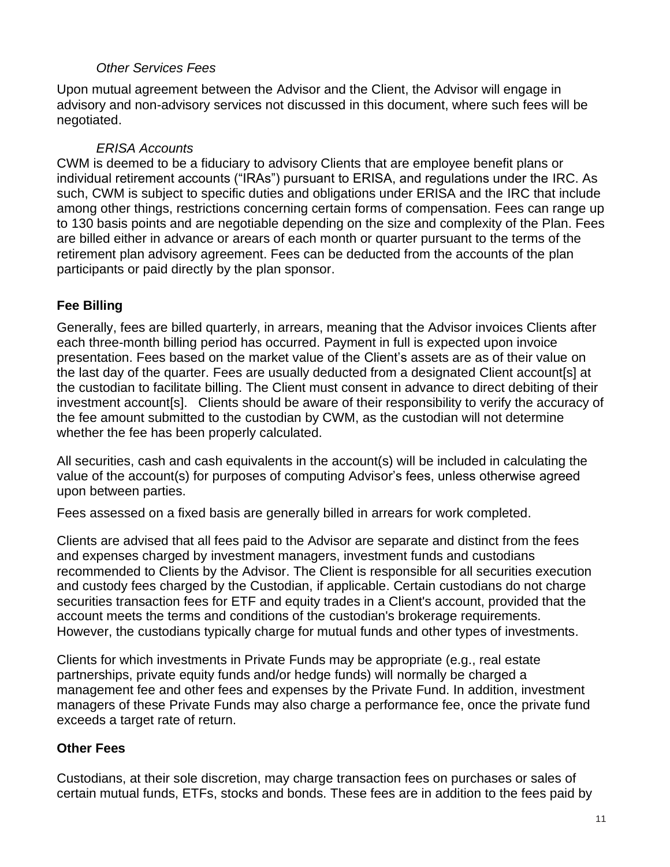### *Other Services Fees*

Upon mutual agreement between the Advisor and the Client, the Advisor will engage in advisory and non-advisory services not discussed in this document, where such fees will be negotiated.

### *ERISA Accounts*

CWM is deemed to be a fiduciary to advisory Clients that are employee benefit plans or individual retirement accounts ("IRAs") pursuant to ERISA, and regulations under the IRC. As such, CWM is subject to specific duties and obligations under ERISA and the IRC that include among other things, restrictions concerning certain forms of compensation. Fees can range up to 130 basis points and are negotiable depending on the size and complexity of the Plan. Fees are billed either in advance or arears of each month or quarter pursuant to the terms of the retirement plan advisory agreement. Fees can be deducted from the accounts of the plan participants or paid directly by the plan sponsor.

## **Fee Billing**

Generally, fees are billed quarterly, in arrears, meaning that the Advisor invoices Clients after each three-month billing period has occurred. Payment in full is expected upon invoice presentation. Fees based on the market value of the Client's assets are as of their value on the last day of the quarter. Fees are usually deducted from a designated Client account[s] at the custodian to facilitate billing. The Client must consent in advance to direct debiting of their investment account[s]. Clients should be aware of their responsibility to verify the accuracy of the fee amount submitted to the custodian by CWM, as the custodian will not determine whether the fee has been properly calculated.

All securities, cash and cash equivalents in the account(s) will be included in calculating the value of the account(s) for purposes of computing Advisor's fees, unless otherwise agreed upon between parties.

Fees assessed on a fixed basis are generally billed in arrears for work completed.

Clients are advised that all fees paid to the Advisor are separate and distinct from the fees and expenses charged by investment managers, investment funds and custodians recommended to Clients by the Advisor. The Client is responsible for all securities execution and custody fees charged by the Custodian, if applicable. Certain custodians do not charge securities transaction fees for ETF and equity trades in a Client's account, provided that the account meets the terms and conditions of the custodian's brokerage requirements. However, the custodians typically charge for mutual funds and other types of investments.

Clients for which investments in Private Funds may be appropriate (e.g., real estate partnerships, private equity funds and/or hedge funds) will normally be charged a management fee and other fees and expenses by the Private Fund. In addition, investment managers of these Private Funds may also charge a performance fee, once the private fund exceeds a target rate of return.

### **Other Fees**

Custodians, at their sole discretion, may charge transaction fees on purchases or sales of certain mutual funds, ETFs, stocks and bonds. These fees are in addition to the fees paid by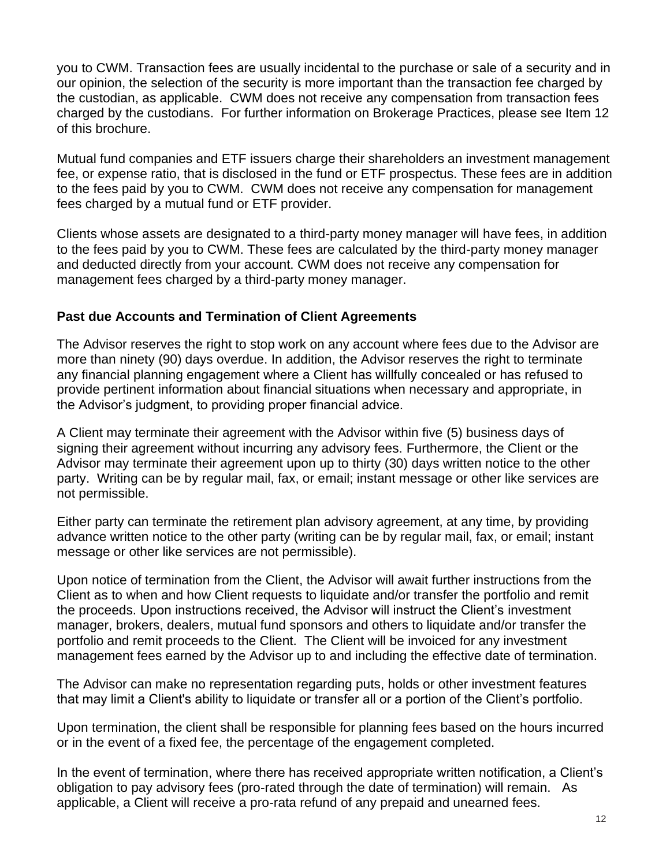you to CWM. Transaction fees are usually incidental to the purchase or sale of a security and in our opinion, the selection of the security is more important than the transaction fee charged by the custodian, as applicable. CWM does not receive any compensation from transaction fees charged by the custodians. For further information on Brokerage Practices, please see Item 12 of this brochure.

Mutual fund companies and ETF issuers charge their shareholders an investment management fee, or expense ratio, that is disclosed in the fund or ETF prospectus. These fees are in addition to the fees paid by you to CWM. CWM does not receive any compensation for management fees charged by a mutual fund or ETF provider.

Clients whose assets are designated to a third-party money manager will have fees, in addition to the fees paid by you to CWM. These fees are calculated by the third-party money manager and deducted directly from your account. CWM does not receive any compensation for management fees charged by a third-party money manager.

### **Past due Accounts and Termination of Client Agreements**

The Advisor reserves the right to stop work on any account where fees due to the Advisor are more than ninety (90) days overdue. In addition, the Advisor reserves the right to terminate any financial planning engagement where a Client has willfully concealed or has refused to provide pertinent information about financial situations when necessary and appropriate, in the Advisor's judgment, to providing proper financial advice.

A Client may terminate their agreement with the Advisor within five (5) business days of signing their agreement without incurring any advisory fees. Furthermore, the Client or the Advisor may terminate their agreement upon up to thirty (30) days written notice to the other party. Writing can be by regular mail, fax, or email; instant message or other like services are not permissible.

Either party can terminate the retirement plan advisory agreement, at any time, by providing advance written notice to the other party (writing can be by regular mail, fax, or email; instant message or other like services are not permissible).

Upon notice of termination from the Client, the Advisor will await further instructions from the Client as to when and how Client requests to liquidate and/or transfer the portfolio and remit the proceeds. Upon instructions received, the Advisor will instruct the Client's investment manager, brokers, dealers, mutual fund sponsors and others to liquidate and/or transfer the portfolio and remit proceeds to the Client. The Client will be invoiced for any investment management fees earned by the Advisor up to and including the effective date of termination.

The Advisor can make no representation regarding puts, holds or other investment features that may limit a Client's ability to liquidate or transfer all or a portion of the Client's portfolio.

Upon termination, the client shall be responsible for planning fees based on the hours incurred or in the event of a fixed fee, the percentage of the engagement completed.

In the event of termination, where there has received appropriate written notification, a Client's obligation to pay advisory fees (pro-rated through the date of termination) will remain. As applicable, a Client will receive a pro-rata refund of any prepaid and unearned fees.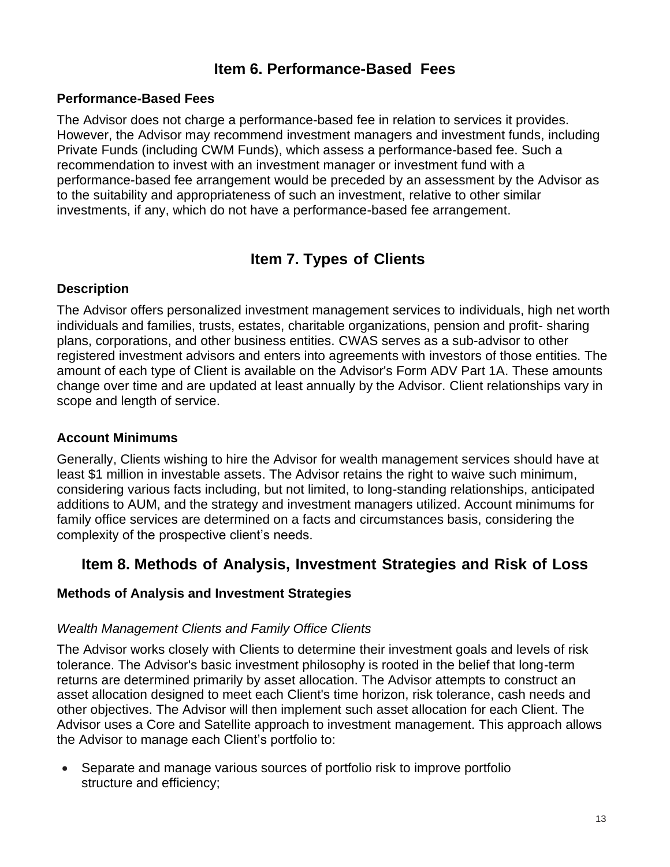## **Item 6. Performance-Based Fees**

### <span id="page-12-0"></span>**Performance-Based Fees**

The Advisor does not charge a performance-based fee in relation to services it provides. However, the Advisor may recommend investment managers and investment funds, including Private Funds (including CWM Funds), which assess a performance-based fee. Such a recommendation to invest with an investment manager or investment fund with a performance-based fee arrangement would be preceded by an assessment by the Advisor as to the suitability and appropriateness of such an investment, relative to other similar investments, if any, which do not have a performance-based fee arrangement.

## **Item 7. Types of Clients**

### <span id="page-12-1"></span>**Description**

The Advisor offers personalized investment management services to individuals, high net worth individuals and families, trusts, estates, charitable organizations, pension and profit- sharing plans, corporations, and other business entities. CWAS serves as a sub-advisor to other registered investment advisors and enters into agreements with investors of those entities. The amount of each type of Client is available on the Advisor's Form ADV Part 1A. These amounts change over time and are updated at least annually by the Advisor. Client relationships vary in scope and length of service.

### **Account Minimums**

Generally, Clients wishing to hire the Advisor for wealth management services should have at least \$1 million in investable assets. The Advisor retains the right to waive such minimum, considering various facts including, but not limited, to long-standing relationships, anticipated additions to AUM, and the strategy and investment managers utilized. Account minimums for family office services are determined on a facts and circumstances basis, considering the complexity of the prospective client's needs.

## <span id="page-12-2"></span>**Item 8. Methods of Analysis, Investment Strategies and Risk of Loss**

#### **Methods of Analysis and Investment Strategies**

#### *Wealth Management Clients and Family Office Clients*

The Advisor works closely with Clients to determine their investment goals and levels of risk tolerance. The Advisor's basic investment philosophy is rooted in the belief that long-term returns are determined primarily by asset allocation. The Advisor attempts to construct an asset allocation designed to meet each Client's time horizon, risk tolerance, cash needs and other objectives. The Advisor will then implement such asset allocation for each Client. The Advisor uses a Core and Satellite approach to investment management. This approach allows the Advisor to manage each Client's portfolio to:

• Separate and manage various sources of portfolio risk to improve portfolio structure and efficiency;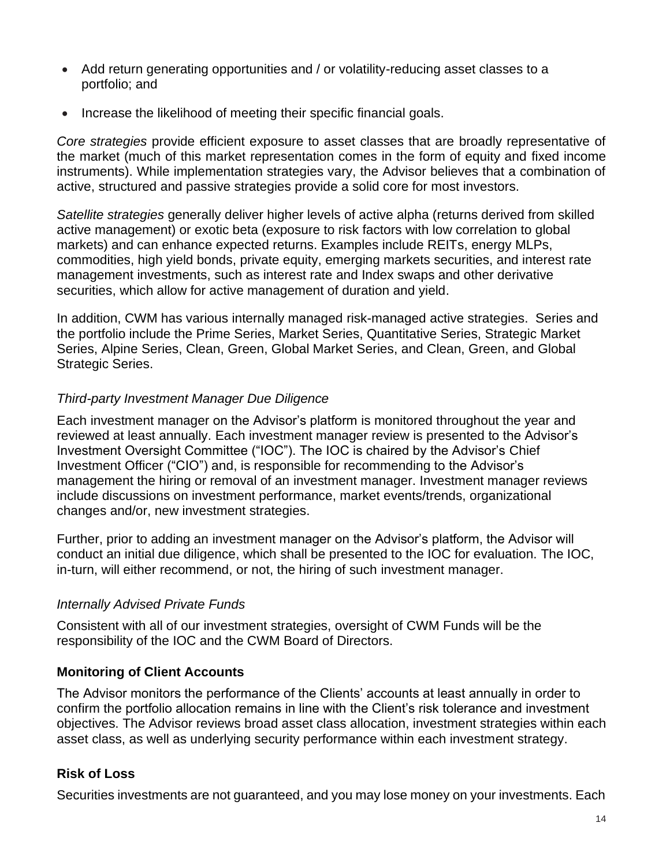- Add return generating opportunities and / or volatility-reducing asset classes to a portfolio; and
- Increase the likelihood of meeting their specific financial goals.

*Core strategies* provide efficient exposure to asset classes that are broadly representative of the market (much of this market representation comes in the form of equity and fixed income instruments). While implementation strategies vary, the Advisor believes that a combination of active, structured and passive strategies provide a solid core for most investors.

*Satellite strategies* generally deliver higher levels of active alpha (returns derived from skilled active management) or exotic beta (exposure to risk factors with low correlation to global markets) and can enhance expected returns. Examples include REITs, energy MLPs, commodities, high yield bonds, private equity, emerging markets securities, and interest rate management investments, such as interest rate and Index swaps and other derivative securities, which allow for active management of duration and yield.

In addition, CWM has various internally managed risk-managed active strategies. Series and the portfolio include the Prime Series, Market Series, Quantitative Series, Strategic Market Series, Alpine Series, Clean, Green, Global Market Series, and Clean, Green, and Global Strategic Series.

### *Third-party Investment Manager Due Diligence*

Each investment manager on the Advisor's platform is monitored throughout the year and reviewed at least annually. Each investment manager review is presented to the Advisor's Investment Oversight Committee ("IOC"). The IOC is chaired by the Advisor's Chief Investment Officer ("CIO") and, is responsible for recommending to the Advisor's management the hiring or removal of an investment manager. Investment manager reviews include discussions on investment performance, market events/trends, organizational changes and/or, new investment strategies.

Further, prior to adding an investment manager on the Advisor's platform, the Advisor will conduct an initial due diligence, which shall be presented to the IOC for evaluation. The IOC, in-turn, will either recommend, or not, the hiring of such investment manager.

### *Internally Advised Private Funds*

Consistent with all of our investment strategies, oversight of CWM Funds will be the responsibility of the IOC and the CWM Board of Directors.

### **Monitoring of Client Accounts**

The Advisor monitors the performance of the Clients' accounts at least annually in order to confirm the portfolio allocation remains in line with the Client's risk tolerance and investment objectives. The Advisor reviews broad asset class allocation, investment strategies within each asset class, as well as underlying security performance within each investment strategy.

### **Risk of Loss**

Securities investments are not guaranteed, and you may lose money on your investments. Each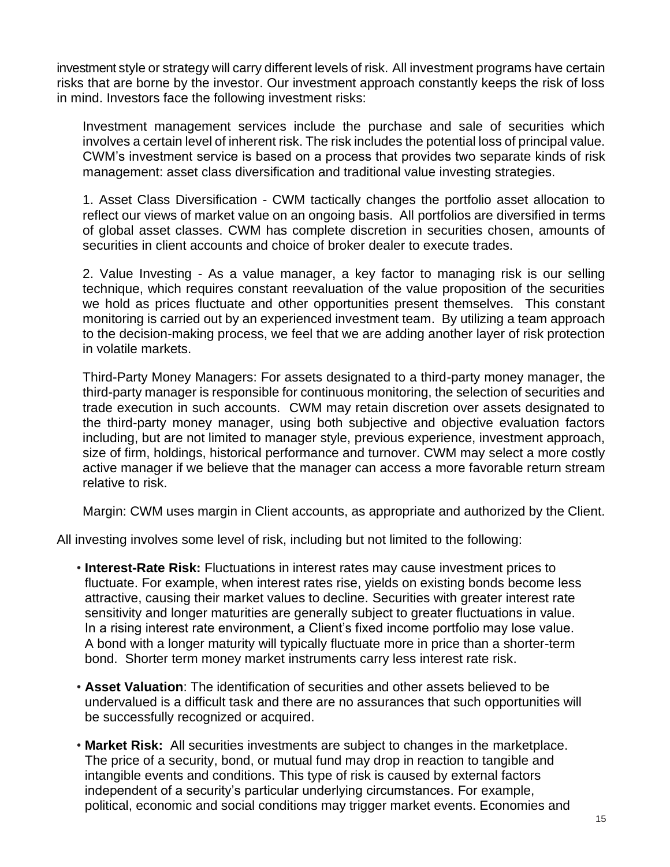investment style or strategy will carry different levels of risk. All investment programs have certain risks that are borne by the investor. Our investment approach constantly keeps the risk of loss in mind. Investors face the following investment risks:

Investment management services include the purchase and sale of securities which involves a certain level of inherent risk. The risk includes the potential loss of principal value. CWM's investment service is based on a process that provides two separate kinds of risk management: asset class diversification and traditional value investing strategies.

1. Asset Class Diversification - CWM tactically changes the portfolio asset allocation to reflect our views of market value on an ongoing basis. All portfolios are diversified in terms of global asset classes. CWM has complete discretion in securities chosen, amounts of securities in client accounts and choice of broker dealer to execute trades.

2. Value Investing - As a value manager, a key factor to managing risk is our selling technique, which requires constant reevaluation of the value proposition of the securities we hold as prices fluctuate and other opportunities present themselves. This constant monitoring is carried out by an experienced investment team. By utilizing a team approach to the decision-making process, we feel that we are adding another layer of risk protection in volatile markets.

Third-Party Money Managers: For assets designated to a third-party money manager, the third-party manager is responsible for continuous monitoring, the selection of securities and trade execution in such accounts. CWM may retain discretion over assets designated to the third-party money manager, using both subjective and objective evaluation factors including, but are not limited to manager style, previous experience, investment approach, size of firm, holdings, historical performance and turnover. CWM may select a more costly active manager if we believe that the manager can access a more favorable return stream relative to risk.

Margin: CWM uses margin in Client accounts, as appropriate and authorized by the Client.

All investing involves some level of risk, including but not limited to the following:

- **Interest-Rate Risk:** Fluctuations in interest rates may cause investment prices to fluctuate. For example, when interest rates rise, yields on existing bonds become less attractive, causing their market values to decline. Securities with greater interest rate sensitivity and longer maturities are generally subject to greater fluctuations in value. In a rising interest rate environment, a Client's fixed income portfolio may lose value. A bond with a longer maturity will typically fluctuate more in price than a shorter-term bond. Shorter term money market instruments carry less interest rate risk.
- **Asset Valuation**: The identification of securities and other assets believed to be undervalued is a difficult task and there are no assurances that such opportunities will be successfully recognized or acquired.
- **Market Risk:** All securities investments are subject to changes in the marketplace. The price of a security, bond, or mutual fund may drop in reaction to tangible and intangible events and conditions. This type of risk is caused by external factors independent of a security's particular underlying circumstances. For example, political, economic and social conditions may trigger market events. Economies and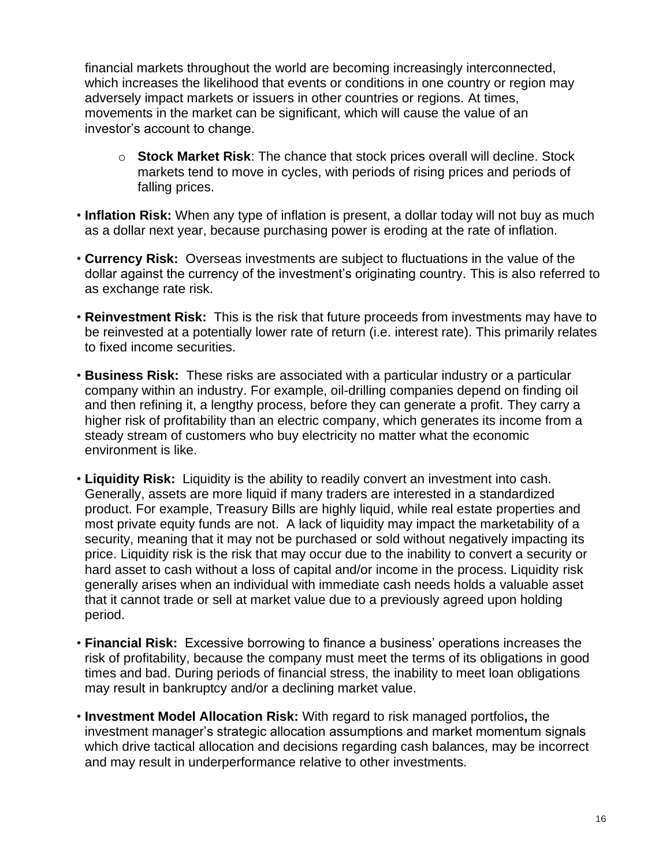financial markets throughout the world are becoming increasingly interconnected, which increases the likelihood that events or conditions in one country or region may adversely impact markets or issuers in other countries or regions. At times, movements in the market can be significant, which will cause the value of an investor's account to change.

- o **Stock Market Risk**: The chance that stock prices overall will decline. Stock markets tend to move in cycles, with periods of rising prices and periods of falling prices.
- **Inflation Risk:** When any type of inflation is present, a dollar today will not buy as much as a dollar next year, because purchasing power is eroding at the rate of inflation.
- **Currency Risk:** Overseas investments are subject to fluctuations in the value of the dollar against the currency of the investment's originating country. This is also referred to as exchange rate risk.
- **Reinvestment Risk:** This is the risk that future proceeds from investments may have to be reinvested at a potentially lower rate of return (i.e. interest rate). This primarily relates to fixed income securities.
- **Business Risk:** These risks are associated with a particular industry or a particular company within an industry. For example, oil-drilling companies depend on finding oil and then refining it, a lengthy process, before they can generate a profit. They carry a higher risk of profitability than an electric company, which generates its income from a steady stream of customers who buy electricity no matter what the economic environment is like.
- **Liquidity Risk:** Liquidity is the ability to readily convert an investment into cash. Generally, assets are more liquid if many traders are interested in a standardized product. For example, Treasury Bills are highly liquid, while real estate properties and most private equity funds are not. A lack of liquidity may impact the marketability of a security, meaning that it may not be purchased or sold without negatively impacting its price. Liquidity risk is the risk that may occur due to the inability to convert a security or hard asset to cash without a loss of capital and/or income in the process. Liquidity risk generally arises when an individual with immediate cash needs holds a valuable asset that it cannot trade or sell at market value due to a previously agreed upon holding period.
- **Financial Risk:** Excessive borrowing to finance a business' operations increases the risk of profitability, because the company must meet the terms of its obligations in good times and bad. During periods of financial stress, the inability to meet loan obligations may result in bankruptcy and/or a declining market value.
- **Investment Model Allocation Risk:** With regard to risk managed portfolios**,** the investment manager's strategic allocation assumptions and market momentum signals which drive tactical allocation and decisions regarding cash balances, may be incorrect and may result in underperformance relative to other investments.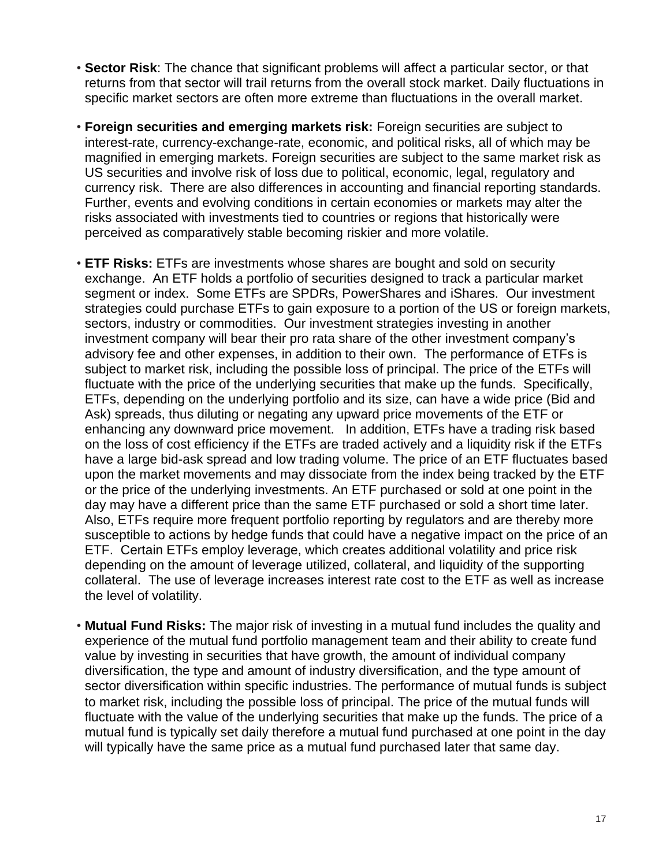- **Sector Risk**: The chance that significant problems will affect a particular sector, or that returns from that sector will trail returns from the overall stock market. Daily fluctuations in specific market sectors are often more extreme than fluctuations in the overall market.
- **Foreign securities and emerging markets risk:** Foreign securities are subject to interest-rate, currency-exchange-rate, economic, and political risks, all of which may be magnified in emerging markets. Foreign securities are subject to the same market risk as US securities and involve risk of loss due to political, economic, legal, regulatory and currency risk. There are also differences in accounting and financial reporting standards. Further, events and evolving conditions in certain economies or markets may alter the risks associated with investments tied to countries or regions that historically were perceived as comparatively stable becoming riskier and more volatile.
- **ETF Risks:** ETFs are investments whose shares are bought and sold on security exchange. An ETF holds a portfolio of securities designed to track a particular market segment or index. Some ETFs are SPDRs, PowerShares and iShares.Our investment strategies could purchase ETFs to gain exposure to a portion of the US or foreign markets, sectors, industry or commodities. Our investment strategies investing in another investment company will bear their pro rata share of the other investment company's advisory fee and other expenses, in addition to their own.The performance of ETFs is subject to market risk, including the possible loss of principal. The price of the ETFs will fluctuate with the price of the underlying securities that make up the funds. Specifically, ETFs, depending on the underlying portfolio and its size, can have a wide price (Bid and Ask) spreads, thus diluting or negating any upward price movements of the ETF or enhancing any downward price movement.In addition, ETFs have a trading risk based on the loss of cost efficiency if the ETFs are traded actively and a liquidity risk if the ETFs have a large bid-ask spread and low trading volume. The price of an ETF fluctuates based upon the market movements and may dissociate from the index being tracked by the ETF or the price of the underlying investments. An ETF purchased or sold at one point in the day may have a different price than the same ETF purchased or sold a short time later. Also, ETFs require more frequent portfolio reporting by regulators and are thereby more susceptible to actions by hedge funds that could have a negative impact on the price of an ETF. Certain ETFs employ leverage, which creates additional volatility and price risk depending on the amount of leverage utilized, collateral, and liquidity of the supporting collateral. The use of leverage increases interest rate cost to the ETF as well as increase the level of volatility.
- **Mutual Fund Risks:** The major risk of investing in a mutual fund includes the quality and experience of the mutual fund portfolio management team and their ability to create fund value by investing in securities that have growth, the amount of individual company diversification, the type and amount of industry diversification, and the type amount of sector diversification within specific industries. The performance of mutual funds is subject to market risk, including the possible loss of principal. The price of the mutual funds will fluctuate with the value of the underlying securities that make up the funds. The price of a mutual fund is typically set daily therefore a mutual fund purchased at one point in the day will typically have the same price as a mutual fund purchased later that same day.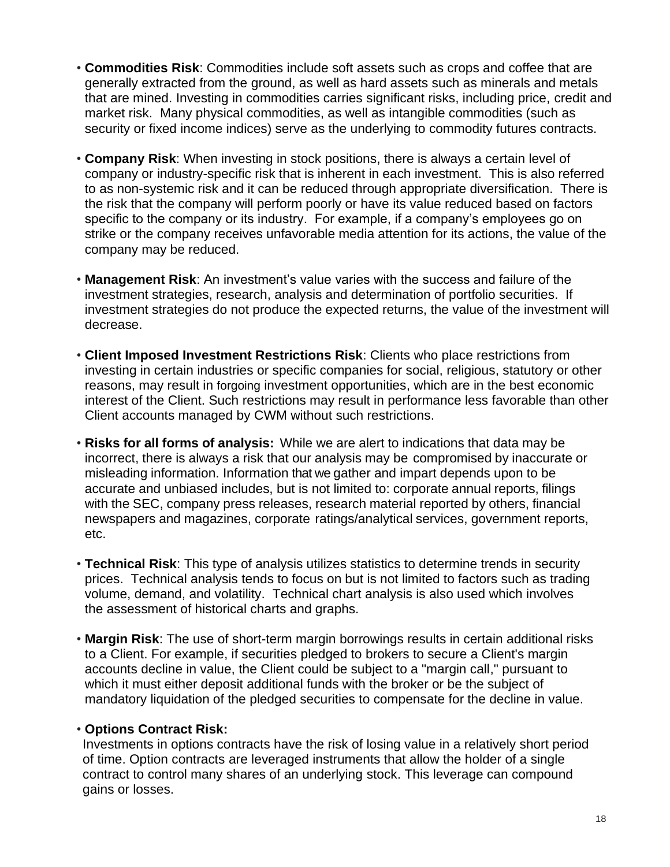- **Commodities Risk**: Commodities include soft assets such as crops and coffee that are generally extracted from the ground, as well as hard assets such as minerals and metals that are mined. Investing in commodities carries significant risks, including price, credit and market risk. Many physical commodities, as well as intangible commodities (such as security or fixed income indices) serve as the underlying to commodity futures contracts.
- **Company Risk**: When investing in stock positions, there is always a certain level of company or industry-specific risk that is inherent in each investment. This is also referred to as non-systemic risk and it can be reduced through appropriate diversification. There is the risk that the company will perform poorly or have its value reduced based on factors specific to the company or its industry. For example, if a company's employees go on strike or the company receives unfavorable media attention for its actions, the value of the company may be reduced.
- **Management Risk**: An investment's value varies with the success and failure of the investment strategies, research, analysis and determination of portfolio securities. If investment strategies do not produce the expected returns, the value of the investment will decrease.
- **Client Imposed Investment Restrictions Risk**: Clients who place restrictions from investing in certain industries or specific companies for social, religious, statutory or other reasons, may result in forgoing investment opportunities, which are in the best economic interest of the Client. Such restrictions may result in performance less favorable than other Client accounts managed by CWM without such restrictions.
- **Risks for all forms of analysis:** While we are alert to indications that data may be incorrect, there is always a risk that our analysis may be compromised by inaccurate or misleading information. Information that we gather and impart depends upon to be accurate and unbiased includes, but is not limited to: corporate annual reports, filings with the SEC, company press releases, research material reported by others, financial newspapers and magazines, corporate ratings/analytical services, government reports, etc.
- **Technical Risk**: This type of analysis utilizes statistics to determine trends in security prices. Technical analysis tends to focus on but is not limited to factors such as trading volume, demand, and volatility. Technical chart analysis is also used which involves the assessment of historical charts and graphs.
- **Margin Risk**: The use of short-term margin borrowings results in certain additional risks to a Client. For example, if securities pledged to brokers to secure a Client's margin accounts decline in value, the Client could be subject to a "margin call," pursuant to which it must either deposit additional funds with the broker or be the subject of mandatory liquidation of the pledged securities to compensate for the decline in value.

#### • **Options Contract Risk:**

Investments in options contracts have the risk of losing value in a relatively short period of time. Option contracts are leveraged instruments that allow the holder of a single contract to control many shares of an underlying stock. This leverage can compound gains or losses.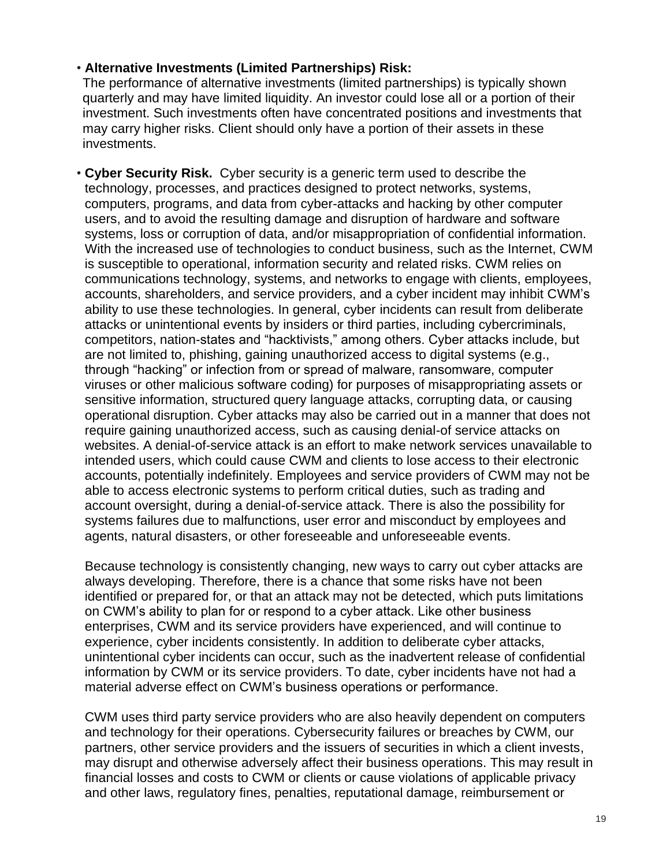### • **Alternative Investments (Limited Partnerships) Risk:**

The performance of alternative investments (limited partnerships) is typically shown quarterly and may have limited liquidity. An investor could lose all or a portion of their investment. Such investments often have concentrated positions and investments that may carry higher risks. Client should only have a portion of their assets in these investments.

• **Cyber Security Risk.** Cyber security is a generic term used to describe the technology, processes, and practices designed to protect networks, systems, computers, programs, and data from cyber-attacks and hacking by other computer users, and to avoid the resulting damage and disruption of hardware and software systems, loss or corruption of data, and/or misappropriation of confidential information. With the increased use of technologies to conduct business, such as the Internet, CWM is susceptible to operational, information security and related risks. CWM relies on communications technology, systems, and networks to engage with clients, employees, accounts, shareholders, and service providers, and a cyber incident may inhibit CWM's ability to use these technologies. In general, cyber incidents can result from deliberate attacks or unintentional events by insiders or third parties, including cybercriminals, competitors, nation-states and "hacktivists," among others. Cyber attacks include, but are not limited to, phishing, gaining unauthorized access to digital systems (e.g., through "hacking" or infection from or spread of malware, ransomware, computer viruses or other malicious software coding) for purposes of misappropriating assets or sensitive information, structured query language attacks, corrupting data, or causing operational disruption. Cyber attacks may also be carried out in a manner that does not require gaining unauthorized access, such as causing denial-of service attacks on websites. A denial-of-service attack is an effort to make network services unavailable to intended users, which could cause CWM and clients to lose access to their electronic accounts, potentially indefinitely. Employees and service providers of CWM may not be able to access electronic systems to perform critical duties, such as trading and account oversight, during a denial-of-service attack. There is also the possibility for systems failures due to malfunctions, user error and misconduct by employees and agents, natural disasters, or other foreseeable and unforeseeable events.

Because technology is consistently changing, new ways to carry out cyber attacks are always developing. Therefore, there is a chance that some risks have not been identified or prepared for, or that an attack may not be detected, which puts limitations on CWM's ability to plan for or respond to a cyber attack. Like other business enterprises, CWM and its service providers have experienced, and will continue to experience, cyber incidents consistently. In addition to deliberate cyber attacks, unintentional cyber incidents can occur, such as the inadvertent release of confidential information by CWM or its service providers. To date, cyber incidents have not had a material adverse effect on CWM's business operations or performance.

CWM uses third party service providers who are also heavily dependent on computers and technology for their operations. Cybersecurity failures or breaches by CWM, our partners, other service providers and the issuers of securities in which a client invests, may disrupt and otherwise adversely affect their business operations. This may result in financial losses and costs to CWM or clients or cause violations of applicable privacy and other laws, regulatory fines, penalties, reputational damage, reimbursement or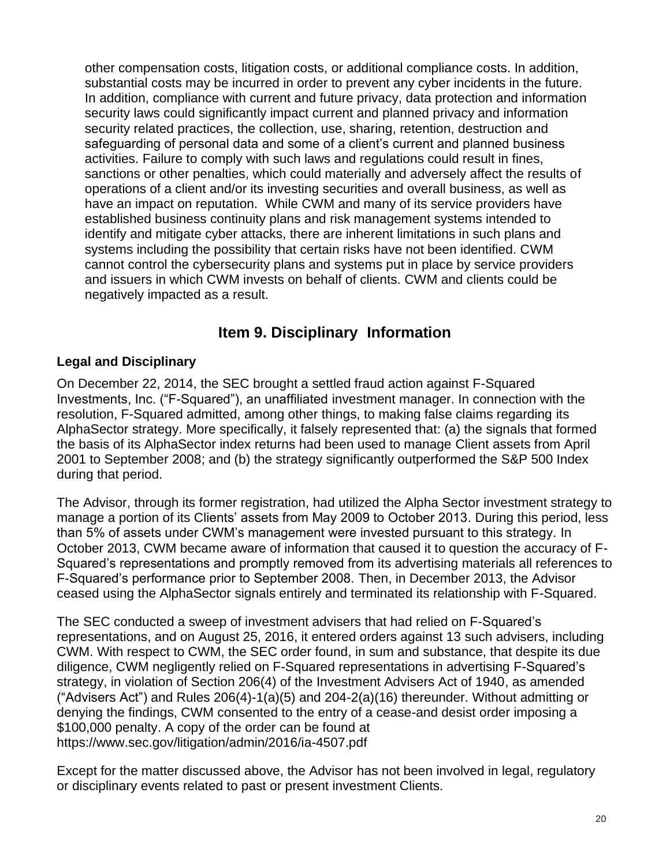other compensation costs, litigation costs, or additional compliance costs. In addition, substantial costs may be incurred in order to prevent any cyber incidents in the future. In addition, compliance with current and future privacy, data protection and information security laws could significantly impact current and planned privacy and information security related practices, the collection, use, sharing, retention, destruction and safeguarding of personal data and some of a client's current and planned business activities. Failure to comply with such laws and regulations could result in fines, sanctions or other penalties, which could materially and adversely affect the results of operations of a client and/or its investing securities and overall business, as well as have an impact on reputation. While CWM and many of its service providers have established business continuity plans and risk management systems intended to identify and mitigate cyber attacks, there are inherent limitations in such plans and systems including the possibility that certain risks have not been identified. CWM cannot control the cybersecurity plans and systems put in place by service providers and issuers in which CWM invests on behalf of clients. CWM and clients could be negatively impacted as a result.

## <span id="page-19-0"></span>**Item 9. Disciplinary Information**

### **Legal and Disciplinary**

On December 22, 2014, the SEC brought a settled fraud action against F-Squared Investments, Inc. ("F-Squared"), an unaffiliated investment manager. In connection with the resolution, F-Squared admitted, among other things, to making false claims regarding its AlphaSector strategy. More specifically, it falsely represented that: (a) the signals that formed the basis of its AlphaSector index returns had been used to manage Client assets from April 2001 to September 2008; and (b) the strategy significantly outperformed the S&P 500 Index during that period.

The Advisor, through its former registration, had utilized the Alpha Sector investment strategy to manage a portion of its Clients' assets from May 2009 to October 2013. During this period, less than 5% of assets under CWM's management were invested pursuant to this strategy. In October 2013, CWM became aware of information that caused it to question the accuracy of F-Squared's representations and promptly removed from its advertising materials all references to F-Squared's performance prior to September 2008. Then, in December 2013, the Advisor ceased using the AlphaSector signals entirely and terminated its relationship with F-Squared.

The SEC conducted a sweep of investment advisers that had relied on F-Squared's representations, and on August 25, 2016, it entered orders against 13 such advisers, including CWM. With respect to CWM, the SEC order found, in sum and substance, that despite its due diligence, CWM negligently relied on F-Squared representations in advertising F-Squared's strategy, in violation of Section 206(4) of the Investment Advisers Act of 1940, as amended ("Advisers Act") and Rules  $206(4)$ -1(a)(5) and  $204-2(a)(16)$  thereunder. Without admitting or denying the findings, CWM consented to the entry of a cease-and desist order imposing a \$100,000 penalty. A copy of the order can be found at https://www.sec.gov/litigation/admin/2016/ia-4507.pdf

Except for the matter discussed above, the Advisor has not been involved in legal, regulatory or disciplinary events related to past or present investment Clients.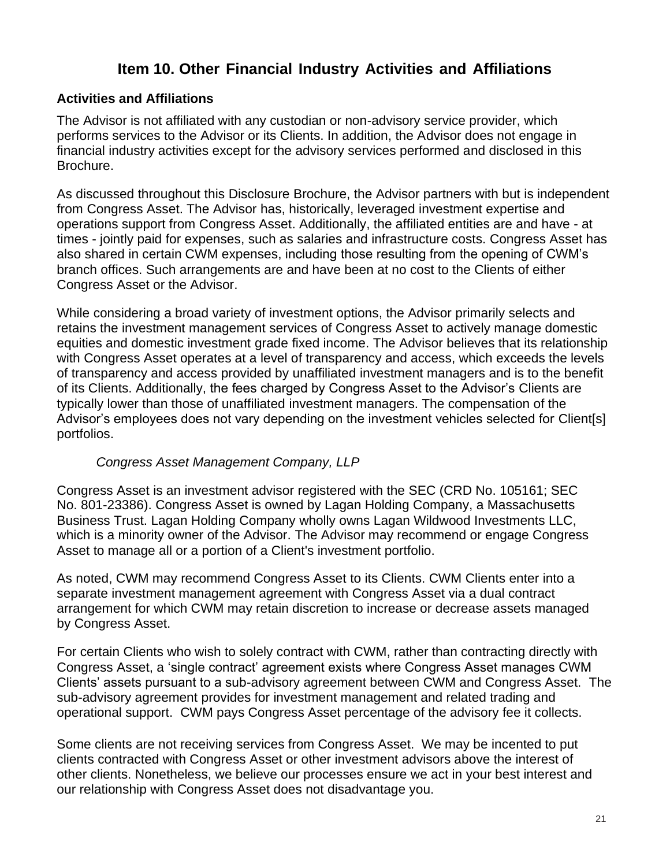## **Item 10. Other Financial Industry Activities and Affiliations**

### <span id="page-20-0"></span>**Activities and Affiliations**

The Advisor is not affiliated with any custodian or non-advisory service provider, which performs services to the Advisor or its Clients. In addition, the Advisor does not engage in financial industry activities except for the advisory services performed and disclosed in this Brochure.

As discussed throughout this Disclosure Brochure, the Advisor partners with but is independent from Congress Asset. The Advisor has, historically, leveraged investment expertise and operations support from Congress Asset. Additionally, the affiliated entities are and have - at times - jointly paid for expenses, such as salaries and infrastructure costs. Congress Asset has also shared in certain CWM expenses, including those resulting from the opening of CWM's branch offices. Such arrangements are and have been at no cost to the Clients of either Congress Asset or the Advisor.

While considering a broad variety of investment options, the Advisor primarily selects and retains the investment management services of Congress Asset to actively manage domestic equities and domestic investment grade fixed income. The Advisor believes that its relationship with Congress Asset operates at a level of transparency and access, which exceeds the levels of transparency and access provided by unaffiliated investment managers and is to the benefit of its Clients. Additionally, the fees charged by Congress Asset to the Advisor's Clients are typically lower than those of unaffiliated investment managers. The compensation of the Advisor's employees does not vary depending on the investment vehicles selected for Client[s] portfolios.

### *Congress Asset Management Company, LLP*

Congress Asset is an investment advisor registered with the SEC (CRD No. 105161; SEC No. 801-23386). Congress Asset is owned by Lagan Holding Company, a Massachusetts Business Trust. Lagan Holding Company wholly owns Lagan Wildwood Investments LLC, which is a minority owner of the Advisor. The Advisor may recommend or engage Congress Asset to manage all or a portion of a Client's investment portfolio.

As noted, CWM may recommend Congress Asset to its Clients. CWM Clients enter into a separate investment management agreement with Congress Asset via a dual contract arrangement for which CWM may retain discretion to increase or decrease assets managed by Congress Asset.

For certain Clients who wish to solely contract with CWM, rather than contracting directly with Congress Asset, a 'single contract' agreement exists where Congress Asset manages CWM Clients' assets pursuant to a sub-advisory agreement between CWM and Congress Asset. The sub-advisory agreement provides for investment management and related trading and operational support. CWM pays Congress Asset percentage of the advisory fee it collects.

Some clients are not receiving services from Congress Asset. We may be incented to put clients contracted with Congress Asset or other investment advisors above the interest of other clients. Nonetheless, we believe our processes ensure we act in your best interest and our relationship with Congress Asset does not disadvantage you.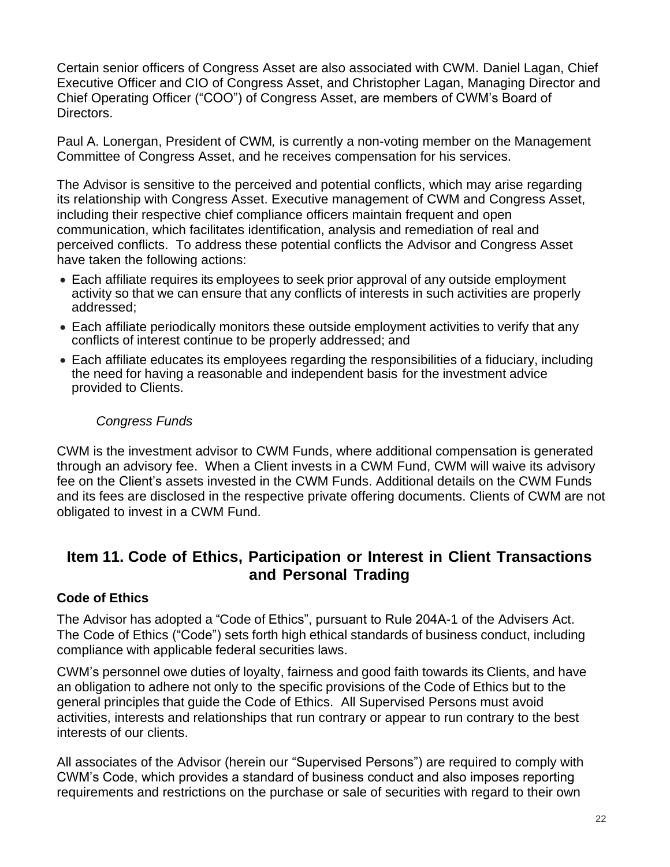Certain senior officers of Congress Asset are also associated with CWM. Daniel Lagan, Chief Executive Officer and CIO of Congress Asset, and Christopher Lagan, Managing Director and Chief Operating Officer ("COO") of Congress Asset, are members of CWM's Board of Directors.

Paul A. Lonergan, President of CWM*,* is currently a non-voting member on the Management Committee of Congress Asset, and he receives compensation for his services.

The Advisor is sensitive to the perceived and potential conflicts, which may arise regarding its relationship with Congress Asset. Executive management of CWM and Congress Asset, including their respective chief compliance officers maintain frequent and open communication, which facilitates identification, analysis and remediation of real and perceived conflicts. To address these potential conflicts the Advisor and Congress Asset have taken the following actions:

- Each affiliate requires its employees to seek prior approval of any outside employment activity so that we can ensure that any conflicts of interests in such activities are properly addressed;
- Each affiliate periodically monitors these outside employment activities to verify that any conflicts of interest continue to be properly addressed; and
- Each affiliate educates its employees regarding the responsibilities of a fiduciary, including the need for having a reasonable and independent basis for the investment advice provided to Clients.

### *Congress Funds*

CWM is the investment advisor to CWM Funds, where additional compensation is generated through an advisory fee. When a Client invests in a CWM Fund, CWM will waive its advisory fee on the Client's assets invested in the CWM Funds. Additional details on the CWM Funds and its fees are disclosed in the respective private offering documents. Clients of CWM are not obligated to invest in a CWM Fund.

## **Item 11. Code of Ethics, Participation or Interest in Client Transactions and Personal Trading**

### **Code of Ethics**

The Advisor has adopted a "Code of Ethics", pursuant to Rule 204A-1 of the Advisers Act. The Code of Ethics ("Code") sets forth high ethical standards of business conduct, including compliance with applicable federal securities laws.

CWM's personnel owe duties of loyalty, fairness and good faith towards its Clients, and have an obligation to adhere not only to the specific provisions of the Code of Ethics but to the general principles that guide the Code of Ethics. All Supervised Persons must avoid activities, interests and relationships that run contrary or appear to run contrary to the best interests of our clients.

All associates of the Advisor (herein our "Supervised Persons") are required to comply with CWM's Code, which provides a standard of business conduct and also imposes reporting requirements and restrictions on the purchase or sale of securities with regard to their own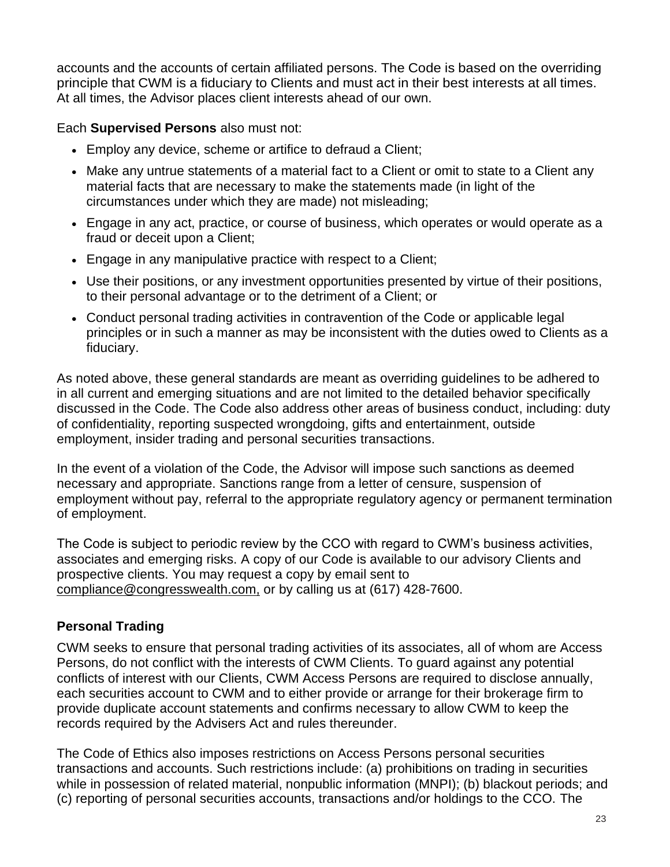accounts and the accounts of certain affiliated persons. The Code is based on the overriding principle that CWM is a fiduciary to Clients and must act in their best interests at all times. At all times, the Advisor places client interests ahead of our own.

Each **Supervised Persons** also must not:

- Employ any device, scheme or artifice to defraud a Client;
- Make any untrue statements of a material fact to a Client or omit to state to a Client any material facts that are necessary to make the statements made (in light of the circumstances under which they are made) not misleading;
- Engage in any act, practice, or course of business, which operates or would operate as a fraud or deceit upon a Client;
- Engage in any manipulative practice with respect to a Client;
- Use their positions, or any investment opportunities presented by virtue of their positions, to their personal advantage or to the detriment of a Client; or
- Conduct personal trading activities in contravention of the Code or applicable legal principles or in such a manner as may be inconsistent with the duties owed to Clients as a fiduciary.

As noted above, these general standards are meant as overriding guidelines to be adhered to in all current and emerging situations and are not limited to the detailed behavior specifically discussed in the Code. The Code also address other areas of business conduct, including: duty of confidentiality, reporting suspected wrongdoing, gifts and entertainment, outside employment, insider trading and personal securities transactions.

In the event of a violation of the Code, the Advisor will impose such sanctions as deemed necessary and appropriate. Sanctions range from a letter of censure, suspension of employment without pay, referral to the appropriate regulatory agency or permanent termination of employment.

The Code is subject to periodic review by the CCO with regard to CWM's business activities, associates and emerging risks. A copy of our Code is available to our advisory Clients and prospective clients. You may request a copy by email sent to [compliance@congresswealth.com,](mailto:compliance@congresswealth.com,) or by calling us at (617) 428-7600.

### **Personal Trading**

CWM seeks to ensure that personal trading activities of its associates, all of whom are Access Persons, do not conflict with the interests of CWM Clients. To guard against any potential conflicts of interest with our Clients, CWM Access Persons are required to disclose annually, each securities account to CWM and to either provide or arrange for their brokerage firm to provide duplicate account statements and confirms necessary to allow CWM to keep the records required by the Advisers Act and rules thereunder.

The Code of Ethics also imposes restrictions on Access Persons personal securities transactions and accounts. Such restrictions include: (a) prohibitions on trading in securities while in possession of related material, nonpublic information (MNPI); (b) blackout periods; and (c) reporting of personal securities accounts, transactions and/or holdings to the CCO. The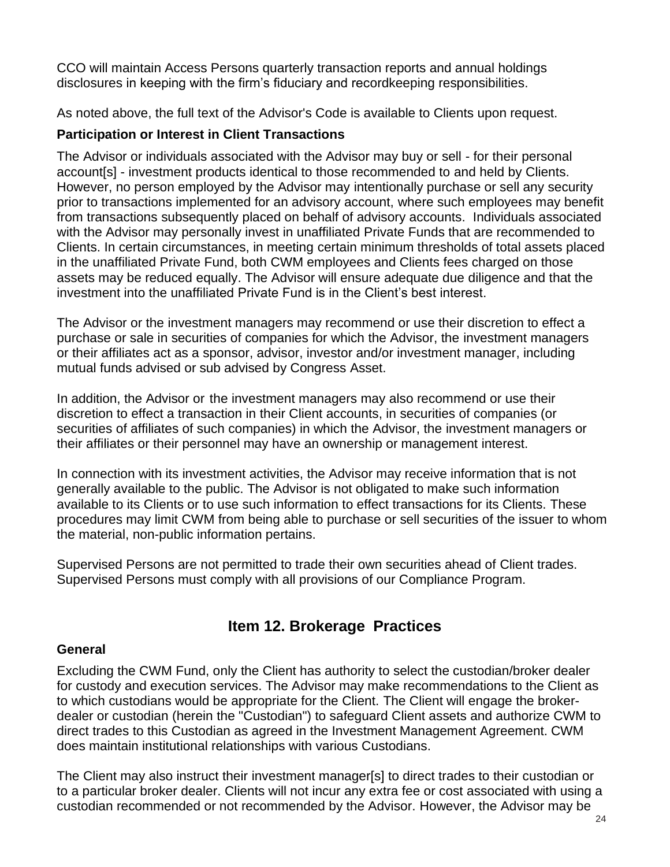CCO will maintain Access Persons quarterly transaction reports and annual holdings disclosures in keeping with the firm's fiduciary and recordkeeping responsibilities.

As noted above, the full text of the Advisor's Code is available to Clients upon request.

### **Participation or Interest in Client Transactions**

The Advisor or individuals associated with the Advisor may buy or sell - for their personal account[s] - investment products identical to those recommended to and held by Clients. However, no person employed by the Advisor may intentionally purchase or sell any security prior to transactions implemented for an advisory account, where such employees may benefit from transactions subsequently placed on behalf of advisory accounts. Individuals associated with the Advisor may personally invest in unaffiliated Private Funds that are recommended to Clients. In certain circumstances, in meeting certain minimum thresholds of total assets placed in the unaffiliated Private Fund, both CWM employees and Clients fees charged on those assets may be reduced equally. The Advisor will ensure adequate due diligence and that the investment into the unaffiliated Private Fund is in the Client's best interest.

The Advisor or the investment managers may recommend or use their discretion to effect a purchase or sale in securities of companies for which the Advisor, the investment managers or their affiliates act as a sponsor, advisor, investor and/or investment manager, including mutual funds advised or sub advised by Congress Asset.

In addition, the Advisor or the investment managers may also recommend or use their discretion to effect a transaction in their Client accounts, in securities of companies (or securities of affiliates of such companies) in which the Advisor, the investment managers or their affiliates or their personnel may have an ownership or management interest.

In connection with its investment activities, the Advisor may receive information that is not generally available to the public. The Advisor is not obligated to make such information available to its Clients or to use such information to effect transactions for its Clients. These procedures may limit CWM from being able to purchase or sell securities of the issuer to whom the material, non-public information pertains.

Supervised Persons are not permitted to trade their own securities ahead of Client trades. Supervised Persons must comply with all provisions of our Compliance Program.

## **Item 12. Brokerage Practices**

### <span id="page-23-0"></span>**General**

Excluding the CWM Fund, only the Client has authority to select the custodian/broker dealer for custody and execution services. The Advisor may make recommendations to the Client as to which custodians would be appropriate for the Client. The Client will engage the brokerdealer or custodian (herein the "Custodian") to safeguard Client assets and authorize CWM to direct trades to this Custodian as agreed in the Investment Management Agreement. CWM does maintain institutional relationships with various Custodians.

The Client may also instruct their investment manager[s] to direct trades to their custodian or to a particular broker dealer. Clients will not incur any extra fee or cost associated with using a custodian recommended or not recommended by the Advisor. However, the Advisor may be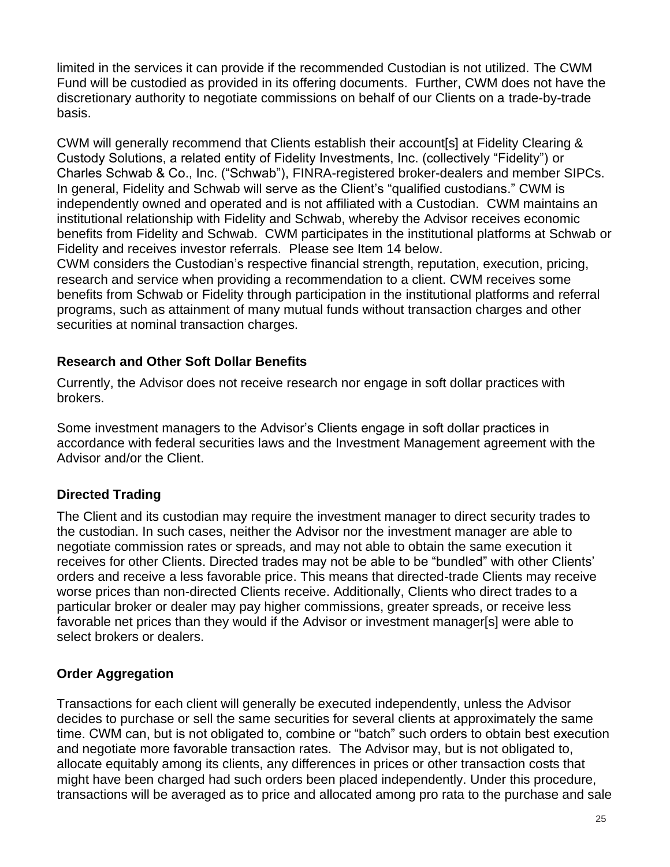limited in the services it can provide if the recommended Custodian is not utilized. The CWM Fund will be custodied as provided in its offering documents. Further, CWM does not have the discretionary authority to negotiate commissions on behalf of our Clients on a trade-by-trade basis.

CWM will generally recommend that Clients establish their account[s] at Fidelity Clearing & Custody Solutions, a related entity of Fidelity Investments, Inc. (collectively "Fidelity") or Charles Schwab & Co., Inc. ("Schwab"), FINRA-registered broker-dealers and member SIPCs. In general, Fidelity and Schwab will serve as the Client's "qualified custodians." CWM is independently owned and operated and is not affiliated with a Custodian. CWM maintains an institutional relationship with Fidelity and Schwab, whereby the Advisor receives economic benefits from Fidelity and Schwab. CWM participates in the institutional platforms at Schwab or Fidelity and receives investor referrals. Please see Item 14 below.

CWM considers the Custodian's respective financial strength, reputation, execution, pricing, research and service when providing a recommendation to a client. CWM receives some benefits from Schwab or Fidelity through participation in the institutional platforms and referral programs, such as attainment of many mutual funds without transaction charges and other securities at nominal transaction charges.

### **Research and Other Soft Dollar Benefits**

Currently, the Advisor does not receive research nor engage in soft dollar practices with brokers.

Some investment managers to the Advisor's Clients engage in soft dollar practices in accordance with federal securities laws and the Investment Management agreement with the Advisor and/or the Client.

### **Directed Trading**

The Client and its custodian may require the investment manager to direct security trades to the custodian. In such cases, neither the Advisor nor the investment manager are able to negotiate commission rates or spreads, and may not able to obtain the same execution it receives for other Clients. Directed trades may not be able to be "bundled" with other Clients' orders and receive a less favorable price. This means that directed-trade Clients may receive worse prices than non-directed Clients receive. Additionally, Clients who direct trades to a particular broker or dealer may pay higher commissions, greater spreads, or receive less favorable net prices than they would if the Advisor or investment manager[s] were able to select brokers or dealers.

### **Order Aggregation**

Transactions for each client will generally be executed independently, unless the Advisor decides to purchase or sell the same securities for several clients at approximately the same time. CWM can, but is not obligated to, combine or "batch" such orders to obtain best execution and negotiate more favorable transaction rates. The Advisor may, but is not obligated to, allocate equitably among its clients, any differences in prices or other transaction costs that might have been charged had such orders been placed independently. Under this procedure, transactions will be averaged as to price and allocated among pro rata to the purchase and sale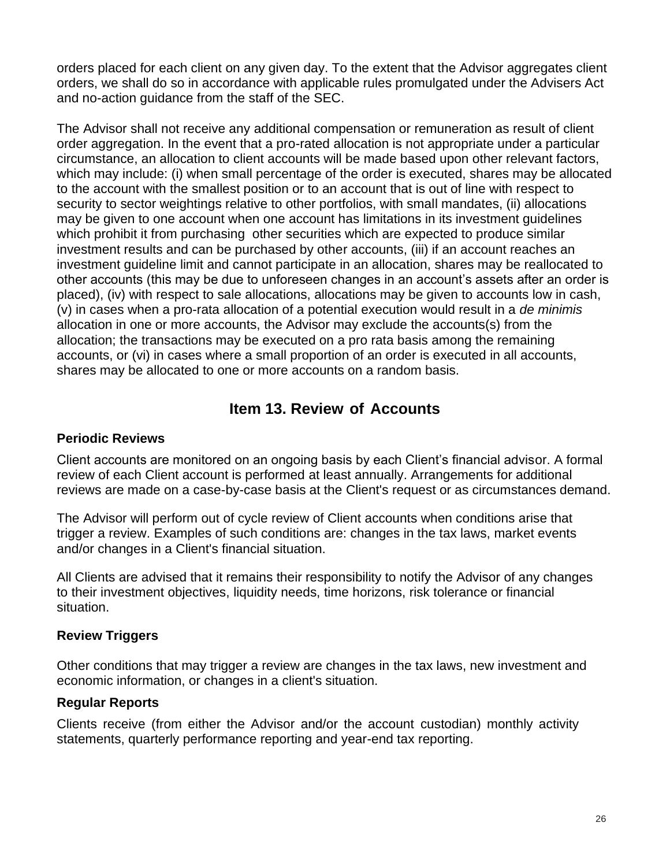orders placed for each client on any given day. To the extent that the Advisor aggregates client orders, we shall do so in accordance with applicable rules promulgated under the Advisers Act and no-action guidance from the staff of the SEC.

The Advisor shall not receive any additional compensation or remuneration as result of client order aggregation. In the event that a pro-rated allocation is not appropriate under a particular circumstance, an allocation to client accounts will be made based upon other relevant factors, which may include: (i) when small percentage of the order is executed, shares may be allocated to the account with the smallest position or to an account that is out of line with respect to security to sector weightings relative to other portfolios, with small mandates, (ii) allocations may be given to one account when one account has limitations in its investment guidelines which prohibit it from purchasing other securities which are expected to produce similar investment results and can be purchased by other accounts, (iii) if an account reaches an investment guideline limit and cannot participate in an allocation, shares may be reallocated to other accounts (this may be due to unforeseen changes in an account's assets after an order is placed), (iv) with respect to sale allocations, allocations may be given to accounts low in cash, (v) in cases when a pro-rata allocation of a potential execution would result in a *de minimis*  allocation in one or more accounts, the Advisor may exclude the accounts(s) from the allocation; the transactions may be executed on a pro rata basis among the remaining accounts, or (vi) in cases where a small proportion of an order is executed in all accounts, shares may be allocated to one or more accounts on a random basis.

## **Item 13. Review of Accounts**

### <span id="page-25-0"></span>**Periodic Reviews**

Client accounts are monitored on an ongoing basis by each Client's financial advisor. A formal review of each Client account is performed at least annually. Arrangements for additional reviews are made on a case-by-case basis at the Client's request or as circumstances demand.

The Advisor will perform out of cycle review of Client accounts when conditions arise that trigger a review. Examples of such conditions are: changes in the tax laws, market events and/or changes in a Client's financial situation.

All Clients are advised that it remains their responsibility to notify the Advisor of any changes to their investment objectives, liquidity needs, time horizons, risk tolerance or financial situation.

### **Review Triggers**

Other conditions that may trigger a review are changes in the tax laws, new investment and economic information, or changes in a client's situation.

#### **Regular Reports**

Clients receive (from either the Advisor and/or the account custodian) monthly activity statements, quarterly performance reporting and year-end tax reporting.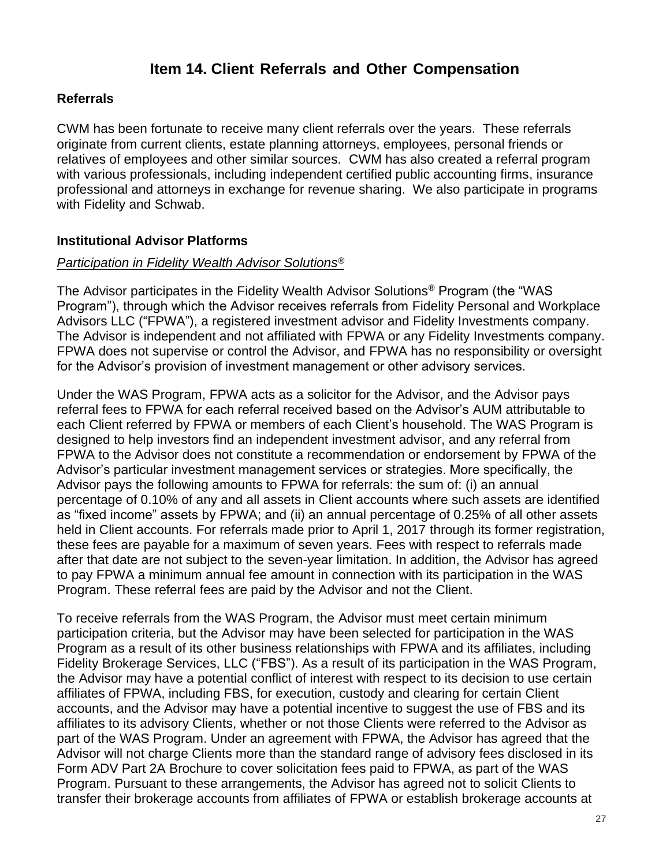## **Item 14. Client Referrals and Other Compensation**

#### <span id="page-26-0"></span>**Referrals**

CWM has been fortunate to receive many client referrals over the years. These referrals originate from current clients, estate planning attorneys, employees, personal friends or relatives of employees and other similar sources. CWM has also created a referral program with various professionals, including independent certified public accounting firms, insurance professional and attorneys in exchange for revenue sharing. We also participate in programs with Fidelity and Schwab.

### **Institutional Advisor Platforms**

#### *Participation in Fidelity Wealth Advisor Solutions®*

The Advisor participates in the Fidelity Wealth Advisor Solutions® Program (the "WAS Program"), through which the Advisor receives referrals from Fidelity Personal and Workplace Advisors LLC ("FPWA"), a registered investment advisor and Fidelity Investments company. The Advisor is independent and not affiliated with FPWA or any Fidelity Investments company. FPWA does not supervise or control the Advisor, and FPWA has no responsibility or oversight for the Advisor's provision of investment management or other advisory services.

Under the WAS Program, FPWA acts as a solicitor for the Advisor, and the Advisor pays referral fees to FPWA for each referral received based on the Advisor's AUM attributable to each Client referred by FPWA or members of each Client's household. The WAS Program is designed to help investors find an independent investment advisor, and any referral from FPWA to the Advisor does not constitute a recommendation or endorsement by FPWA of the Advisor's particular investment management services or strategies. More specifically, the Advisor pays the following amounts to FPWA for referrals: the sum of: (i) an annual percentage of 0.10% of any and all assets in Client accounts where such assets are identified as "fixed income" assets by FPWA; and (ii) an annual percentage of 0.25% of all other assets held in Client accounts. For referrals made prior to April 1, 2017 through its former registration, these fees are payable for a maximum of seven years. Fees with respect to referrals made after that date are not subject to the seven-year limitation. In addition, the Advisor has agreed to pay FPWA a minimum annual fee amount in connection with its participation in the WAS Program. These referral fees are paid by the Advisor and not the Client.

To receive referrals from the WAS Program, the Advisor must meet certain minimum participation criteria, but the Advisor may have been selected for participation in the WAS Program as a result of its other business relationships with FPWA and its affiliates, including Fidelity Brokerage Services, LLC ("FBS"). As a result of its participation in the WAS Program, the Advisor may have a potential conflict of interest with respect to its decision to use certain affiliates of FPWA, including FBS, for execution, custody and clearing for certain Client accounts, and the Advisor may have a potential incentive to suggest the use of FBS and its affiliates to its advisory Clients, whether or not those Clients were referred to the Advisor as part of the WAS Program. Under an agreement with FPWA, the Advisor has agreed that the Advisor will not charge Clients more than the standard range of advisory fees disclosed in its Form ADV Part 2A Brochure to cover solicitation fees paid to FPWA, as part of the WAS Program. Pursuant to these arrangements, the Advisor has agreed not to solicit Clients to transfer their brokerage accounts from affiliates of FPWA or establish brokerage accounts at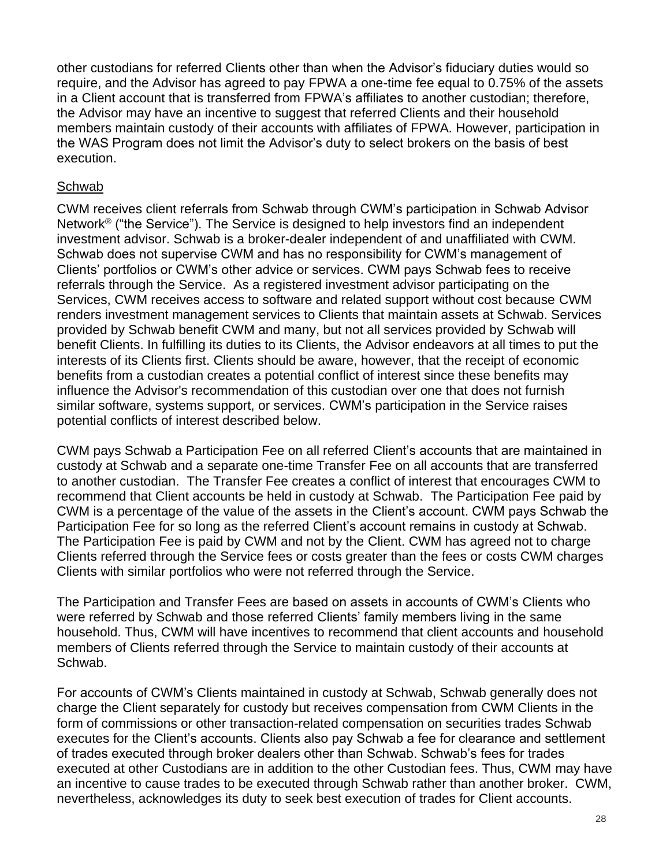other custodians for referred Clients other than when the Advisor's fiduciary duties would so require, and the Advisor has agreed to pay FPWA a one-time fee equal to 0.75% of the assets in a Client account that is transferred from FPWA's affiliates to another custodian; therefore, the Advisor may have an incentive to suggest that referred Clients and their household members maintain custody of their accounts with affiliates of FPWA. However, participation in the WAS Program does not limit the Advisor's duty to select brokers on the basis of best execution.

#### Schwab

CWM receives client referrals from Schwab through CWM's participation in Schwab Advisor Network® ("the Service"). The Service is designed to help investors find an independent investment advisor. Schwab is a broker-dealer independent of and unaffiliated with CWM. Schwab does not supervise CWM and has no responsibility for CWM's management of Clients' portfolios or CWM's other advice or services. CWM pays Schwab fees to receive referrals through the Service. As a registered investment advisor participating on the Services, CWM receives access to software and related support without cost because CWM renders investment management services to Clients that maintain assets at Schwab. Services provided by Schwab benefit CWM and many, but not all services provided by Schwab will benefit Clients. In fulfilling its duties to its Clients, the Advisor endeavors at all times to put the interests of its Clients first. Clients should be aware, however, that the receipt of economic benefits from a custodian creates a potential conflict of interest since these benefits may influence the Advisor's recommendation of this custodian over one that does not furnish similar software, systems support, or services. CWM's participation in the Service raises potential conflicts of interest described below.

CWM pays Schwab a Participation Fee on all referred Client's accounts that are maintained in custody at Schwab and a separate one-time Transfer Fee on all accounts that are transferred to another custodian. The Transfer Fee creates a conflict of interest that encourages CWM to recommend that Client accounts be held in custody at Schwab. The Participation Fee paid by CWM is a percentage of the value of the assets in the Client's account. CWM pays Schwab the Participation Fee for so long as the referred Client's account remains in custody at Schwab. The Participation Fee is paid by CWM and not by the Client. CWM has agreed not to charge Clients referred through the Service fees or costs greater than the fees or costs CWM charges Clients with similar portfolios who were not referred through the Service.

The Participation and Transfer Fees are based on assets in accounts of CWM's Clients who were referred by Schwab and those referred Clients' family members living in the same household. Thus, CWM will have incentives to recommend that client accounts and household members of Clients referred through the Service to maintain custody of their accounts at Schwab.

For accounts of CWM's Clients maintained in custody at Schwab, Schwab generally does not charge the Client separately for custody but receives compensation from CWM Clients in the form of commissions or other transaction-related compensation on securities trades Schwab executes for the Client's accounts. Clients also pay Schwab a fee for clearance and settlement of trades executed through broker dealers other than Schwab. Schwab's fees for trades executed at other Custodians are in addition to the other Custodian fees. Thus, CWM may have an incentive to cause trades to be executed through Schwab rather than another broker. CWM, nevertheless, acknowledges its duty to seek best execution of trades for Client accounts.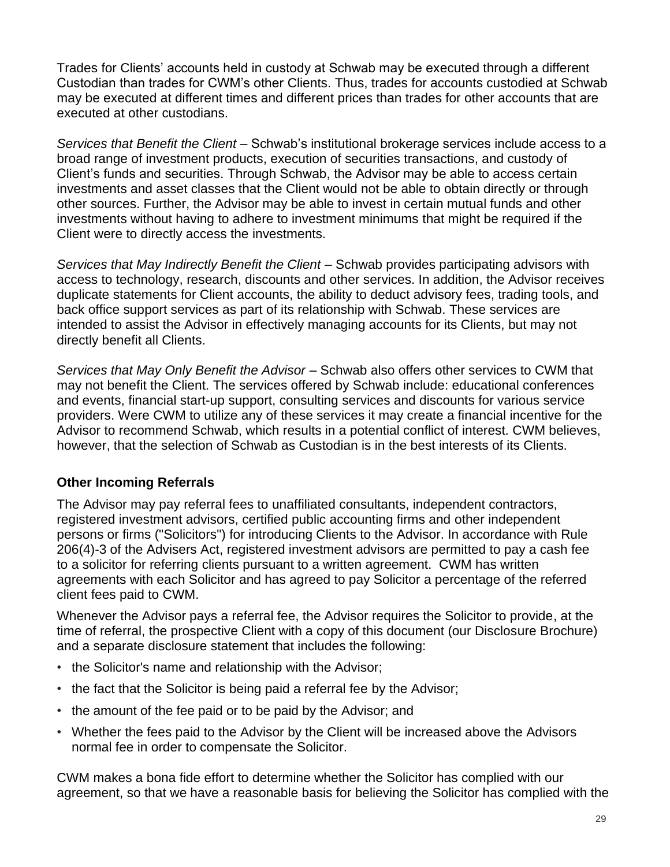Trades for Clients' accounts held in custody at Schwab may be executed through a different Custodian than trades for CWM's other Clients. Thus, trades for accounts custodied at Schwab may be executed at different times and different prices than trades for other accounts that are executed at other custodians.

*Services that Benefit the Client* – Schwab's institutional brokerage services include access to a broad range of investment products, execution of securities transactions, and custody of Client's funds and securities. Through Schwab, the Advisor may be able to access certain investments and asset classes that the Client would not be able to obtain directly or through other sources. Further, the Advisor may be able to invest in certain mutual funds and other investments without having to adhere to investment minimums that might be required if the Client were to directly access the investments.

*Services that May Indirectly Benefit the Client* – Schwab provides participating advisors with access to technology, research, discounts and other services. In addition, the Advisor receives duplicate statements for Client accounts, the ability to deduct advisory fees, trading tools, and back office support services as part of its relationship with Schwab. These services are intended to assist the Advisor in effectively managing accounts for its Clients, but may not directly benefit all Clients.

*Services that May Only Benefit the Advisor* – Schwab also offers other services to CWM that may not benefit the Client. The services offered by Schwab include: educational conferences and events, financial start-up support, consulting services and discounts for various service providers. Were CWM to utilize any of these services it may create a financial incentive for the Advisor to recommend Schwab, which results in a potential conflict of interest. CWM believes, however, that the selection of Schwab as Custodian is in the best interests of its Clients.

### **Other Incoming Referrals**

The Advisor may pay referral fees to unaffiliated consultants, independent contractors, registered investment advisors, certified public accounting firms and other independent persons or firms ("Solicitors") for introducing Clients to the Advisor. In accordance with Rule 206(4)-3 of the Advisers Act, registered investment advisors are permitted to pay a cash fee to a solicitor for referring clients pursuant to a written agreement. CWM has written agreements with each Solicitor and has agreed to pay Solicitor a percentage of the referred client fees paid to CWM.

Whenever the Advisor pays a referral fee, the Advisor requires the Solicitor to provide, at the time of referral, the prospective Client with a copy of this document (our Disclosure Brochure) and a separate disclosure statement that includes the following:

- the Solicitor's name and relationship with the Advisor;
- the fact that the Solicitor is being paid a referral fee by the Advisor;
- the amount of the fee paid or to be paid by the Advisor; and
- Whether the fees paid to the Advisor by the Client will be increased above the Advisors normal fee in order to compensate the Solicitor.

CWM makes a bona fide effort to determine whether the Solicitor has complied with our agreement, so that we have a reasonable basis for believing the Solicitor has complied with the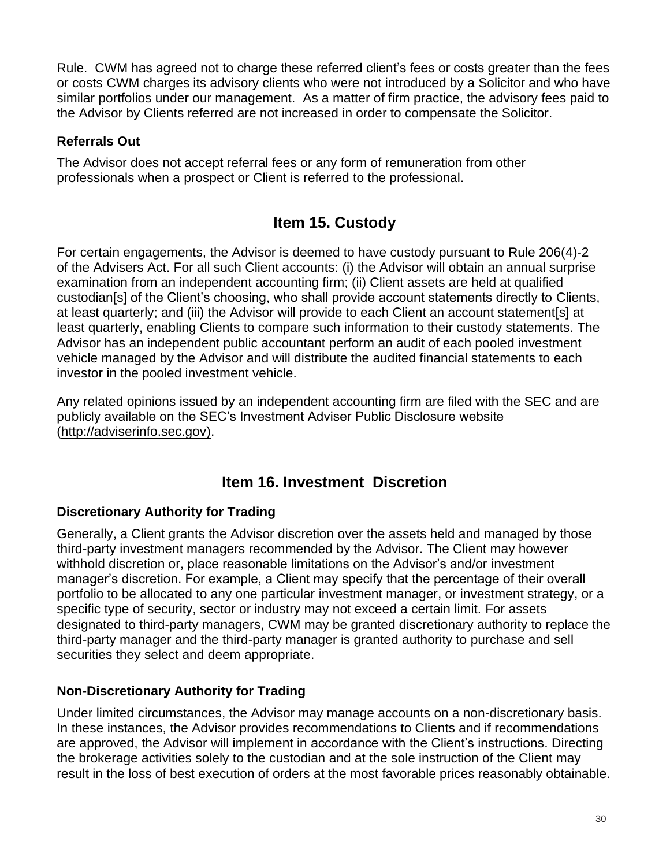Rule. CWM has agreed not to charge these referred client's fees or costs greater than the fees or costs CWM charges its advisory clients who were not introduced by a Solicitor and who have similar portfolios under our management. As a matter of firm practice, the advisory fees paid to the Advisor by Clients referred are not increased in order to compensate the Solicitor.

### **Referrals Out**

The Advisor does not accept referral fees or any form of remuneration from other professionals when a prospect or Client is referred to the professional.

## **Item 15. Custody**

<span id="page-29-0"></span>For certain engagements, the Advisor is deemed to have custody pursuant to Rule 206(4)-2 of the Advisers Act. For all such Client accounts: (i) the Advisor will obtain an annual surprise examination from an independent accounting firm; (ii) Client assets are held at qualified custodian[s] of the Client's choosing, who shall provide account statements directly to Clients, at least quarterly; and (iii) the Advisor will provide to each Client an account statement[s] at least quarterly, enabling Clients to compare such information to their custody statements. The Advisor has an independent public accountant perform an audit of each pooled investment vehicle managed by the Advisor and will distribute the audited financial statements to each investor in the pooled investment vehicle.

Any related opinions issued by an independent accounting firm are filed with the SEC and are publicly available on the SEC's Investment Adviser Public Disclosure website [\(http://adviserinfo.sec.gov\).](http://adviserinfo.sec.gov)/)

## <span id="page-29-2"></span>**Item 16. Investment Discretion**

### <span id="page-29-1"></span>**Discretionary Authority for Trading**

Generally, a Client grants the Advisor discretion over the assets held and managed by those third-party investment managers recommended by the Advisor. The Client may however withhold discretion or, place reasonable limitations on the Advisor's and/or investment manager's discretion. For example, a Client may specify that the percentage of their overall portfolio to be allocated to any one particular investment manager, or investment strategy, or a specific type of security, sector or industry may not exceed a certain limit. For assets designated to third-party managers, CWM may be granted discretionary authority to replace the third-party manager and the third-party manager is granted authority to purchase and sell securities they select and deem appropriate.

### **Non-Discretionary Authority for Trading**

Under limited circumstances, the Advisor may manage accounts on a non-discretionary basis. In these instances, the Advisor provides recommendations to Clients and if recommendations are approved, the Advisor will implement in accordance with the Client's instructions. Directing the brokerage activities solely to the custodian and at the sole instruction of the Client may result in the loss of best execution of orders at the most favorable prices reasonably obtainable.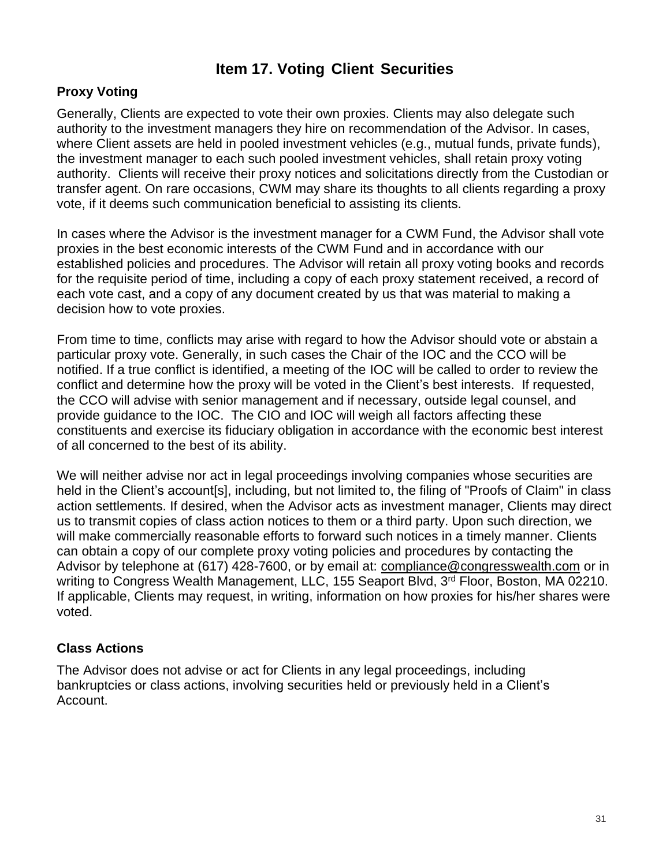## **Item 17. Voting Client Securities**

### **Proxy Voting**

Generally, Clients are expected to vote their own proxies. Clients may also delegate such authority to the investment managers they hire on recommendation of the Advisor. In cases, where Client assets are held in pooled investment vehicles (e.g., mutual funds, private funds), the investment manager to each such pooled investment vehicles, shall retain proxy voting authority. Clients will receive their proxy notices and solicitations directly from the Custodian or transfer agent. On rare occasions, CWM may share its thoughts to all clients regarding a proxy vote, if it deems such communication beneficial to assisting its clients.

In cases where the Advisor is the investment manager for a CWM Fund, the Advisor shall vote proxies in the best economic interests of the CWM Fund and in accordance with our established policies and procedures. The Advisor will retain all proxy voting books and records for the requisite period of time, including a copy of each proxy statement received, a record of each vote cast, and a copy of any document created by us that was material to making a decision how to vote proxies.

From time to time, conflicts may arise with regard to how the Advisor should vote or abstain a particular proxy vote. Generally, in such cases the Chair of the IOC and the CCO will be notified. If a true conflict is identified, a meeting of the IOC will be called to order to review the conflict and determine how the proxy will be voted in the Client's best interests. If requested, the CCO will advise with senior management and if necessary, outside legal counsel, and provide guidance to the IOC. The CIO and IOC will weigh all factors affecting these constituents and exercise its fiduciary obligation in accordance with the economic best interest of all concerned to the best of its ability.

We will neither advise nor act in legal proceedings involving companies whose securities are held in the Client's account[s], including, but not limited to, the filing of "Proofs of Claim" in class action settlements. If desired, when the Advisor acts as investment manager, Clients may direct us to transmit copies of class action notices to them or a third party. Upon such direction, we will make commercially reasonable efforts to forward such notices in a timely manner. Clients can obtain a copy of our complete proxy voting policies and procedures by contacting the Advisor by telephone at (617) 428-7600, or by email at: [compliance@congresswealth.com](mailto:compliance@congresswealth.com) or in writing to Congress Wealth Management, LLC, [155 Seaport Blvd, 3](https://urldefense.proofpoint.com/v2/url?u=https-3A__www.google.com_url-3Fsa-3Dt-26rct-3Dj-26q-3D-26esrc-3Ds-26source-3Dweb-26cd-3D5-26cad-3Drja-26uact-3D8-26ved-3D2ahUKEwinjIqx-2DcvkAhXO1FkKHZh3BqsQFjAEegQIBRAB-26url-3Dhttps-253A-252F-252Fwww.loopnet.com-252FListing-252F155-2DSeaport-2DBlvd-2DBoston-2DMA-252F4059392-252F-26usg-3DAOvVaw0t6iQ0wV7xsCellr61zI-5Fg&d=DwMFAg&c=5vOBDmAB7iEjDDOZLSiuMw&r=Lu3bgCMr2UweBnw91X7TX-xbBS0X4yaSpTH7V22GUFk&m=1AzQnXmpIuFEJOgkQuCbGTTPWImmjjR3KKPowe6GvOk&s=qwSeESNwcl6sHQAw9PXqZoDR107XE6-NSO58i_F3SGo&e=)<sup>rd</sup> Floor, Boston, MA 02210. If applicable, Clients may request, in writing, information on how proxies for his/her shares were voted.

#### **Class Actions**

The Advisor does not advise or act for Clients in any legal proceedings, including bankruptcies or class actions, involving securities held or previously held in a Client's Account.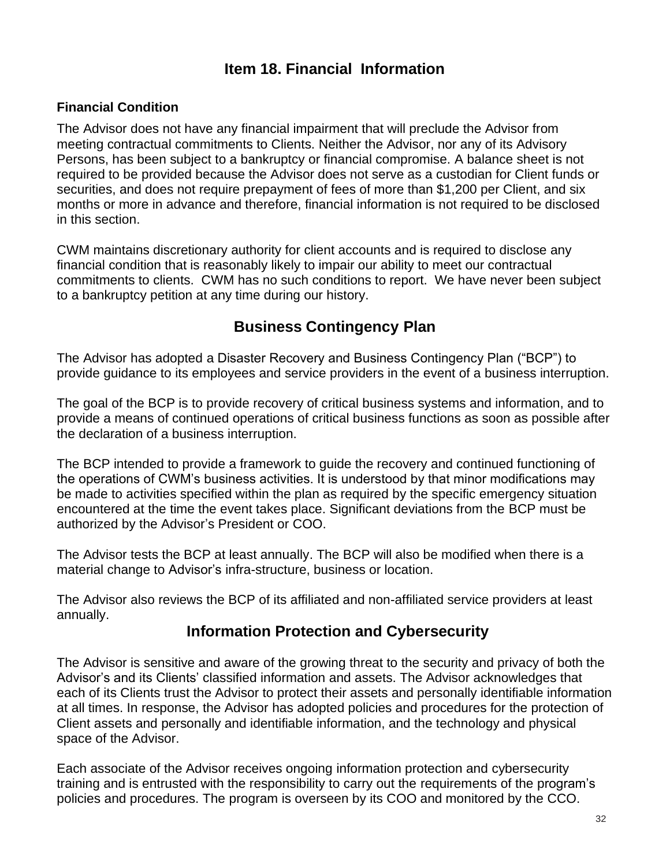## **Item 18. Financial Information**

### <span id="page-31-0"></span>**Financial Condition**

The Advisor does not have any financial impairment that will preclude the Advisor from meeting contractual commitments to Clients. Neither the Advisor, nor any of its Advisory Persons, has been subject to a bankruptcy or financial compromise. A balance sheet is not required to be provided because the Advisor does not serve as a custodian for Client funds or securities, and does not require prepayment of fees of more than \$1,200 per Client, and six months or more in advance and therefore, financial information is not required to be disclosed in this section.

CWM maintains discretionary authority for client accounts and is required to disclose any financial condition that is reasonably likely to impair our ability to meet our contractual commitments to clients. CWM has no such conditions to report. We have never been subject to a bankruptcy petition at any time during our history.

## **Business Contingency Plan**

The Advisor has adopted a Disaster Recovery and Business Contingency Plan ("BCP") to provide guidance to its employees and service providers in the event of a business interruption.

The goal of the BCP is to provide recovery of critical business systems and information, and to provide a means of continued operations of critical business functions as soon as possible after the declaration of a business interruption.

The BCP intended to provide a framework to guide the recovery and continued functioning of the operations of CWM's business activities. It is understood by that minor modifications may be made to activities specified within the plan as required by the specific emergency situation encountered at the time the event takes place. Significant deviations from the BCP must be authorized by the Advisor's President or COO.

The Advisor tests the BCP at least annually. The BCP will also be modified when there is a material change to Advisor's infra-structure, business or location.

<span id="page-31-1"></span>The Advisor also reviews the BCP of its affiliated and non-affiliated service providers at least annually.

## **Information Protection and Cybersecurity**

The Advisor is sensitive and aware of the growing threat to the security and privacy of both the Advisor's and its Clients' classified information and assets. The Advisor acknowledges that each of its Clients trust the Advisor to protect their assets and personally identifiable information at all times. In response, the Advisor has adopted policies and procedures for the protection of Client assets and personally and identifiable information, and the technology and physical space of the Advisor.

Each associate of the Advisor receives ongoing information protection and cybersecurity training and is entrusted with the responsibility to carry out the requirements of the program's policies and procedures. The program is overseen by its COO and monitored by the CCO.